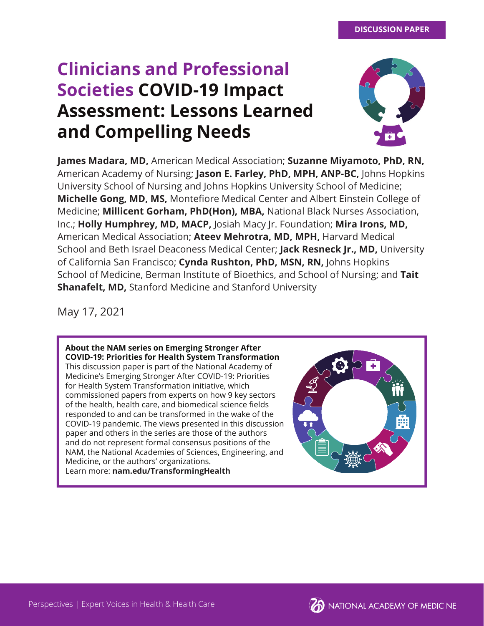# **Clinicians and Professional Societies COVID-19 Impact Assessment: Lessons Learned and Compelling Needs**



**James Madara, MD,** American Medical Association; **Suzanne Miyamoto, PhD, RN,**  American Academy of Nursing; **Jason E. Farley, PhD, MPH, ANP-BC,** Johns Hopkins University School of Nursing and Johns Hopkins University School of Medicine; **Michelle Gong, MD, MS, Montefiore Medical Center and Albert Einstein College of** Medicine; **Millicent Gorham, PhD(Hon), MBA,** National Black Nurses Association, Inc.; **Holly Humphrey, MD, MACP,** Josiah Macy Jr. Foundation; **Mira Irons, MD,**  American Medical Association; **Ateev Mehrotra, MD, MPH,** Harvard Medical School and Beth Israel Deaconess Medical Center; **Jack Resneck Jr., MD,** University of California San Francisco; **Cynda Rushton, PhD, MSN, RN,** Johns Hopkins School of Medicine, Berman Institute of Bioethics, and School of Nursing; and **Tait Shanafelt, MD,** Stanford Medicine and Stanford University

May 17, 2021

**About the NAM series on Emerging Stronger After COVID-19: Priorities for Health System Transformation** This discussion paper is part of the National Academy of Medicine's Emerging Stronger After COVID-19: Priorities for Health System Transformation initiative, which commissioned papers from experts on how 9 key sectors of the health, health care, and biomedical science fields responded to and can be transformed in the wake of the COVID-19 pandemic. The views presented in this discussion paper and others in the series are those of the authors and do not represent formal consensus positions of the NAM, the National Academies of Sciences, Engineering, and Medicine, or the authors' organizations. Learn more: **nam.edu/TransformingHealth**



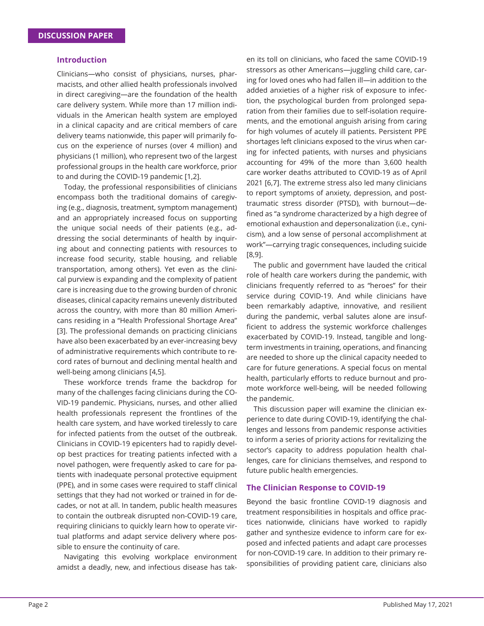## **Introduction**

Clinicians—who consist of physicians, nurses, pharmacists, and other allied health professionals involved in direct caregiving—are the foundation of the health care delivery system. While more than 17 million individuals in the American health system are employed in a clinical capacity and are critical members of care delivery teams nationwide, this paper will primarily focus on the experience of nurses (over 4 million) and physicians (1 million), who represent two of the largest professional groups in the health care workforce, prior to and during the COVID-19 pandemic [1,2].

Today, the professional responsibilities of clinicians encompass both the traditional domains of caregiving (e.g., diagnosis, treatment, symptom management) and an appropriately increased focus on supporting the unique social needs of their patients (e.g., addressing the social determinants of health by inquiring about and connecting patients with resources to increase food security, stable housing, and reliable transportation, among others). Yet even as the clinical purview is expanding and the complexity of patient care is increasing due to the growing burden of chronic diseases, clinical capacity remains unevenly distributed across the country, with more than 80 million Americans residing in a "Health Professional Shortage Area" [3]. The professional demands on practicing clinicians have also been exacerbated by an ever-increasing bevy of administrative requirements which contribute to record rates of burnout and declining mental health and well-being among clinicians [4,5].

These workforce trends frame the backdrop for many of the challenges facing clinicians during the CO-VID-19 pandemic. Physicians, nurses, and other allied health professionals represent the frontlines of the health care system, and have worked tirelessly to care for infected patients from the outset of the outbreak. Clinicians in COVID-19 epicenters had to rapidly develop best practices for treating patients infected with a novel pathogen, were frequently asked to care for patients with inadequate personal protective equipment (PPE), and in some cases were required to staff clinical settings that they had not worked or trained in for decades, or not at all. In tandem, public health measures to contain the outbreak disrupted non-COVID-19 care, requiring clinicians to quickly learn how to operate virtual platforms and adapt service delivery where possible to ensure the continuity of care.

Navigating this evolving workplace environment amidst a deadly, new, and infectious disease has tak-

en its toll on clinicians, who faced the same COVID-19 stressors as other Americans—juggling child care, caring for loved ones who had fallen ill—in addition to the added anxieties of a higher risk of exposure to infection, the psychological burden from prolonged separation from their families due to self-isolation requirements, and the emotional anguish arising from caring for high volumes of acutely ill patients. Persistent PPE shortages left clinicians exposed to the virus when caring for infected patients, with nurses and physicians accounting for 49% of the more than 3,600 health care worker deaths attributed to COVID-19 as of April 2021 [6,7]. The extreme stress also led many clinicians to report symptoms of anxiety, depression, and posttraumatic stress disorder (PTSD), with burnout—defined as "a syndrome characterized by a high degree of emotional exhaustion and depersonalization (i.e., cynicism), and a low sense of personal accomplishment at work"—carrying tragic consequences, including suicide [8,9].

The public and government have lauded the critical role of health care workers during the pandemic, with clinicians frequently referred to as "heroes" for their service during COVID-19. And while clinicians have been remarkably adaptive, innovative, and resilient during the pandemic, verbal salutes alone are insufficient to address the systemic workforce challenges exacerbated by COVID-19. Instead, tangible and longterm investments in training, operations, and financing are needed to shore up the clinical capacity needed to care for future generations. A special focus on mental health, particularly efforts to reduce burnout and promote workforce well-being, will be needed following the pandemic.

This discussion paper will examine the clinician experience to date during COVID-19, identifying the challenges and lessons from pandemic response activities to inform a series of priority actions for revitalizing the sector's capacity to address population health challenges, care for clinicians themselves, and respond to future public health emergencies.

#### **The Clinician Response to COVID-19**

Beyond the basic frontline COVID-19 diagnosis and treatment responsibilities in hospitals and office practices nationwide, clinicians have worked to rapidly gather and synthesize evidence to inform care for exposed and infected patients and adapt care processes for non-COVID-19 care. In addition to their primary responsibilities of providing patient care, clinicians also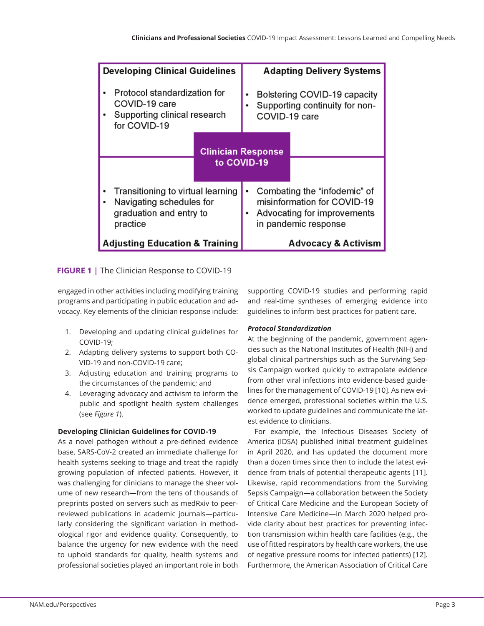| <b>Developing Clinical Guidelines</b>                                                                |                                          | <b>Adapting Delivery Systems</b>                                                                                   |
|------------------------------------------------------------------------------------------------------|------------------------------------------|--------------------------------------------------------------------------------------------------------------------|
| Protocol standardization for<br>COVID-19 care<br>Supporting clinical research<br>for COVID-19        |                                          | Bolstering COVID-19 capacity<br>Supporting continuity for non-<br>COVID-19 care                                    |
|                                                                                                      | <b>Clinician Response</b><br>to COVID-19 |                                                                                                                    |
| Transitioning to virtual learning<br>Navigating schedules for<br>graduation and entry to<br>practice |                                          | Combating the "infodemic" of<br>misinformation for COVID-19<br>Advocating for improvements<br>in pandemic response |
| <b>Adjusting Education &amp; Training</b>                                                            |                                          | <b>Advocacy &amp; Activism</b>                                                                                     |

# **FIGURE 1 |** The Clinician Response to COVID-19

engaged in other activities including modifying training programs and participating in public education and advocacy. Key elements of the clinician response include:

- 1. Developing and updating clinical guidelines for COVID-19;
- 2. Adapting delivery systems to support both CO-VID-19 and non-COVID-19 care;
- 3. Adjusting education and training programs to the circumstances of the pandemic; and
- 4. Leveraging advocacy and activism to inform the public and spotlight health system challenges (see *Figure 1*).

# **Developing Clinician Guidelines for COVID-19**

As a novel pathogen without a pre-defined evidence base, SARS-CoV-2 created an immediate challenge for health systems seeking to triage and treat the rapidly growing population of infected patients. However, it was challenging for clinicians to manage the sheer volume of new research—from the tens of thousands of preprints posted on servers such as medRxiv to peerreviewed publications in academic journals—particularly considering the significant variation in methodological rigor and evidence quality. Consequently, to balance the urgency for new evidence with the need to uphold standards for quality, health systems and professional societies played an important role in both

supporting COVID-19 studies and performing rapid and real-time syntheses of emerging evidence into guidelines to inform best practices for patient care.

# *Protocol Standardization*

At the beginning of the pandemic, government agencies such as the National Institutes of Health (NIH) and global clinical partnerships such as the Surviving Sepsis Campaign worked quickly to extrapolate evidence from other viral infections into evidence-based guidelines for the management of COVID-19 [10]. As new evidence emerged, professional societies within the U.S. worked to update guidelines and communicate the latest evidence to clinicians.

For example, the Infectious Diseases Society of America (IDSA) published initial treatment guidelines in April 2020, and has updated the document more than a dozen times since then to include the latest evidence from trials of potential therapeutic agents [11]. Likewise, rapid recommendations from the Surviving Sepsis Campaign—a collaboration between the Society of Critical Care Medicine and the European Society of Intensive Care Medicine—in March 2020 helped provide clarity about best practices for preventing infection transmission within health care facilities (e.g., the use of fitted respirators by health care workers, the use of negative pressure rooms for infected patients) [12]. Furthermore, the American Association of Critical Care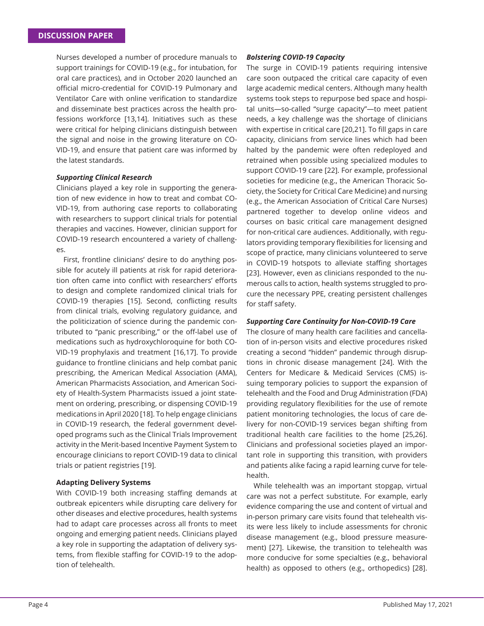Nurses developed a number of procedure manuals to support trainings for COVID-19 (e.g., for intubation, for oral care practices), and in October 2020 launched an official micro-credential for COVID-19 Pulmonary and Ventilator Care with online verification to standardize and disseminate best practices across the health professions workforce [13,14]. Initiatives such as these were critical for helping clinicians distinguish between the signal and noise in the growing literature on CO-VID-19, and ensure that patient care was informed by the latest standards.

## *Supporting Clinical Research*

Clinicians played a key role in supporting the generation of new evidence in how to treat and combat CO-VID-19, from authoring case reports to collaborating with researchers to support clinical trials for potential therapies and vaccines. However, clinician support for COVID-19 research encountered a variety of challenges.

First, frontline clinicians' desire to do anything possible for acutely ill patients at risk for rapid deterioration often came into conflict with researchers' efforts to design and complete randomized clinical trials for COVID-19 therapies [15]. Second, conflicting results from clinical trials, evolving regulatory guidance, and the politicization of science during the pandemic contributed to "panic prescribing," or the off-label use of medications such as hydroxychloroquine for both CO-VID-19 prophylaxis and treatment [16,17]. To provide guidance to frontline clinicians and help combat panic prescribing, the American Medical Association (AMA), American Pharmacists Association, and American Society of Health-System Pharmacists issued a joint statement on ordering, prescribing, or dispensing COVID-19 medications in April 2020 [18]. To help engage clinicians in COVID-19 research, the federal government developed programs such as the Clinical Trials Improvement activity in the Merit-based Incentive Payment System to encourage clinicians to report COVID-19 data to clinical trials or patient registries [19].

## **Adapting Delivery Systems**

With COVID-19 both increasing staffing demands at outbreak epicenters while disrupting care delivery for other diseases and elective procedures, health systems had to adapt care processes across all fronts to meet ongoing and emerging patient needs. Clinicians played a key role in supporting the adaptation of delivery systems, from flexible staffing for COVID-19 to the adoption of telehealth.

## *Bolstering COVID-19 Capacity*

The surge in COVID-19 patients requiring intensive care soon outpaced the critical care capacity of even large academic medical centers. Although many health systems took steps to repurpose bed space and hospital units—so-called "surge capacity"—to meet patient needs, a key challenge was the shortage of clinicians with expertise in critical care [20,21]. To fill gaps in care capacity, clinicians from service lines which had been halted by the pandemic were often redeployed and retrained when possible using specialized modules to support COVID-19 care [22]. For example, professional societies for medicine (e.g., the American Thoracic Society, the Society for Critical Care Medicine) and nursing (e.g., the American Association of Critical Care Nurses) partnered together to develop online videos and courses on basic critical care management designed for non-critical care audiences. Additionally, with regulators providing temporary flexibilities for licensing and scope of practice, many clinicians volunteered to serve in COVID-19 hotspots to alleviate staffing shortages [23]. However, even as clinicians responded to the numerous calls to action, health systems struggled to procure the necessary PPE, creating persistent challenges for staff safety.

## *Supporting Care Continuity for Non-COVID-19 Care*

The closure of many health care facilities and cancellation of in-person visits and elective procedures risked creating a second "hidden" pandemic through disruptions in chronic disease management [24]. With the Centers for Medicare & Medicaid Services (CMS) issuing temporary policies to support the expansion of telehealth and the Food and Drug Administration (FDA) providing regulatory flexibilities for the use of remote patient monitoring technologies, the locus of care delivery for non-COVID-19 services began shifting from traditional health care facilities to the home [25,26]. Clinicians and professional societies played an important role in supporting this transition, with providers and patients alike facing a rapid learning curve for telehealth.

While telehealth was an important stopgap, virtual care was not a perfect substitute. For example, early evidence comparing the use and content of virtual and in-person primary care visits found that telehealth visits were less likely to include assessments for chronic disease management (e.g., blood pressure measurement) [27]. Likewise, the transition to telehealth was more conducive for some specialties (e.g., behavioral health) as opposed to others (e.g., orthopedics) [28].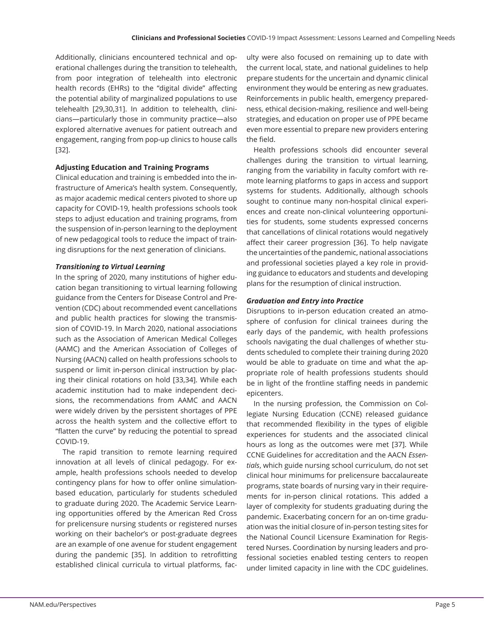Additionally, clinicians encountered technical and operational challenges during the transition to telehealth, from poor integration of telehealth into electronic health records (EHRs) to the "digital divide" affecting the potential ability of marginalized populations to use telehealth [29,30,31]. In addition to telehealth, clinicians—particularly those in community practice—also explored alternative avenues for patient outreach and engagement, ranging from pop-up clinics to house calls [32].

# **Adjusting Education and Training Programs**

Clinical education and training is embedded into the infrastructure of America's health system. Consequently, as major academic medical centers pivoted to shore up capacity for COVID-19, health professions schools took steps to adjust education and training programs, from the suspension of in-person learning to the deployment of new pedagogical tools to reduce the impact of training disruptions for the next generation of clinicians.

# *Transitioning to Virtual Learning*

In the spring of 2020, many institutions of higher education began transitioning to virtual learning following guidance from the Centers for Disease Control and Prevention (CDC) about recommended event cancellations and public health practices for slowing the transmission of COVID-19. In March 2020, national associations such as the Association of American Medical Colleges (AAMC) and the American Association of Colleges of Nursing (AACN) called on health professions schools to suspend or limit in-person clinical instruction by placing their clinical rotations on hold [33,34]. While each academic institution had to make independent decisions, the recommendations from AAMC and AACN were widely driven by the persistent shortages of PPE across the health system and the collective effort to "flatten the curve" by reducing the potential to spread COVID-19.

The rapid transition to remote learning required innovation at all levels of clinical pedagogy. For example, health professions schools needed to develop contingency plans for how to offer online simulationbased education, particularly for students scheduled to graduate during 2020. The Academic Service Learning opportunities offered by the American Red Cross for prelicensure nursing students or registered nurses working on their bachelor's or post-graduate degrees are an example of one avenue for student engagement during the pandemic [35]. In addition to retrofitting established clinical curricula to virtual platforms, faculty were also focused on remaining up to date with the current local, state, and national guidelines to help prepare students for the uncertain and dynamic clinical environment they would be entering as new graduates. Reinforcements in public health, emergency preparedness, ethical decision-making, resilience and well-being strategies, and education on proper use of PPE became even more essential to prepare new providers entering the field.

Health professions schools did encounter several challenges during the transition to virtual learning, ranging from the variability in faculty comfort with remote learning platforms to gaps in access and support systems for students. Additionally, although schools sought to continue many non-hospital clinical experiences and create non-clinical volunteering opportunities for students, some students expressed concerns that cancellations of clinical rotations would negatively affect their career progression [36]. To help navigate the uncertainties of the pandemic, national associations and professional societies played a key role in providing guidance to educators and students and developing plans for the resumption of clinical instruction.

## *Graduation and Entry into Practice*

Disruptions to in-person education created an atmosphere of confusion for clinical trainees during the early days of the pandemic, with health professions schools navigating the dual challenges of whether students scheduled to complete their training during 2020 would be able to graduate on time and what the appropriate role of health professions students should be in light of the frontline staffing needs in pandemic epicenters.

In the nursing profession, the Commission on Collegiate Nursing Education (CCNE) released guidance that recommended flexibility in the types of eligible experiences for students and the associated clinical hours as long as the outcomes were met [37]. While CCNE Guidelines for accreditation and the AACN *Essentials*, which guide nursing school curriculum, do not set clinical hour minimums for prelicensure baccalaureate programs, state boards of nursing vary in their requirements for in-person clinical rotations. This added a layer of complexity for students graduating during the pandemic. Exacerbating concern for an on-time graduation was the initial closure of in-person testing sites for the National Council Licensure Examination for Registered Nurses. Coordination by nursing leaders and professional societies enabled testing centers to reopen under limited capacity in line with the CDC guidelines.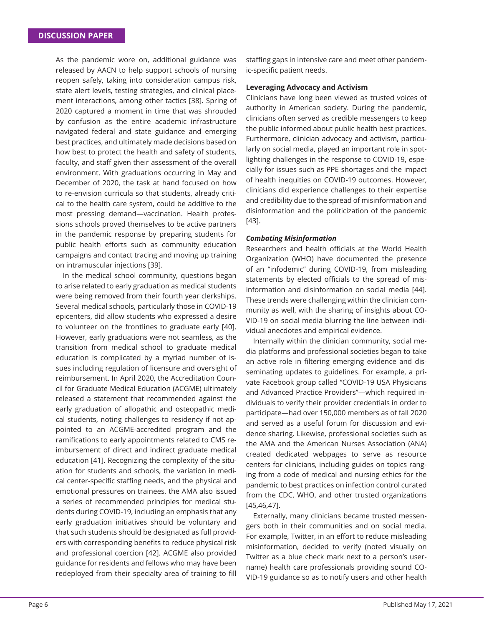As the pandemic wore on, additional guidance was released by AACN to help support schools of nursing reopen safely, taking into consideration campus risk, state alert levels, testing strategies, and clinical placement interactions, among other tactics [38]. Spring of 2020 captured a moment in time that was shrouded by confusion as the entire academic infrastructure navigated federal and state guidance and emerging best practices, and ultimately made decisions based on how best to protect the health and safety of students, faculty, and staff given their assessment of the overall environment. With graduations occurring in May and December of 2020, the task at hand focused on how to re-envision curricula so that students, already critical to the health care system, could be additive to the most pressing demand—vaccination. Health professions schools proved themselves to be active partners in the pandemic response by preparing students for public health efforts such as community education campaigns and contact tracing and moving up training on intramuscular injections [39].

In the medical school community, questions began to arise related to early graduation as medical students were being removed from their fourth year clerkships. Several medical schools, particularly those in COVID-19 epicenters, did allow students who expressed a desire to volunteer on the frontlines to graduate early [40]. However, early graduations were not seamless, as the transition from medical school to graduate medical education is complicated by a myriad number of issues including regulation of licensure and oversight of reimbursement. In April 2020, the Accreditation Council for Graduate Medical Education (ACGME) ultimately released a statement that recommended against the early graduation of allopathic and osteopathic medical students, noting challenges to residency if not appointed to an ACGME-accredited program and the ramifications to early appointments related to CMS reimbursement of direct and indirect graduate medical education [41]. Recognizing the complexity of the situation for students and schools, the variation in medical center-specific staffing needs, and the physical and emotional pressures on trainees, the AMA also issued a series of recommended principles for medical students during COVID-19, including an emphasis that any early graduation initiatives should be voluntary and that such students should be designated as full providers with corresponding benefits to reduce physical risk and professional coercion [42]. ACGME also provided guidance for residents and fellows who may have been redeployed from their specialty area of training to fill staffing gaps in intensive care and meet other pandemic-specific patient needs.

## **Leveraging Advocacy and Activism**

Clinicians have long been viewed as trusted voices of authority in American society. During the pandemic, clinicians often served as credible messengers to keep the public informed about public health best practices. Furthermore, clinician advocacy and activism, particularly on social media, played an important role in spotlighting challenges in the response to COVID-19, especially for issues such as PPE shortages and the impact of health inequities on COVID-19 outcomes. However, clinicians did experience challenges to their expertise and credibility due to the spread of misinformation and disinformation and the politicization of the pandemic [43].

## *Combating Misinformation*

Researchers and health officials at the World Health Organization (WHO) have documented the presence of an "infodemic" during COVID-19, from misleading statements by elected officials to the spread of misinformation and disinformation on social media [44]. These trends were challenging within the clinician community as well, with the sharing of insights about CO-VID-19 on social media blurring the line between individual anecdotes and empirical evidence.

Internally within the clinician community, social media platforms and professional societies began to take an active role in filtering emerging evidence and disseminating updates to guidelines. For example, a private Facebook group called "COVID-19 USA Physicians and Advanced Practice Providers"—which required individuals to verify their provider credentials in order to participate—had over 150,000 members as of fall 2020 and served as a useful forum for discussion and evidence sharing. Likewise, professional societies such as the AMA and the American Nurses Association (ANA) created dedicated webpages to serve as resource centers for clinicians, including guides on topics ranging from a code of medical and nursing ethics for the pandemic to best practices on infection control curated from the CDC, WHO, and other trusted organizations [45,46,47].

Externally, many clinicians became trusted messengers both in their communities and on social media. For example, Twitter, in an effort to reduce misleading misinformation, decided to verify (noted visually on Twitter as a blue check mark next to a person's username) health care professionals providing sound CO-VID-19 guidance so as to notify users and other health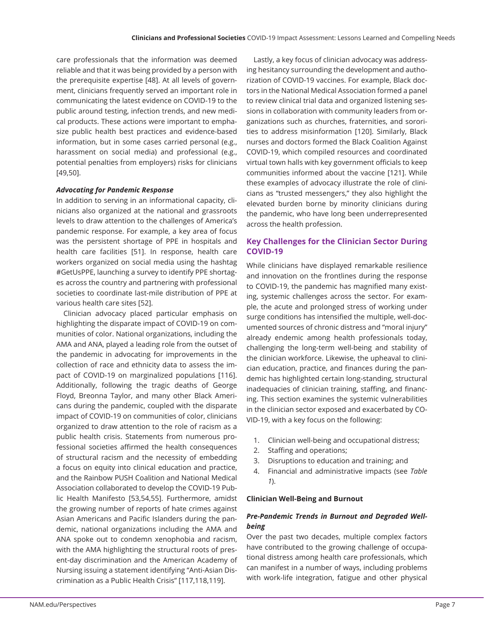care professionals that the information was deemed reliable and that it was being provided by a person with the prerequisite expertise [48]. At all levels of government, clinicians frequently served an important role in communicating the latest evidence on COVID-19 to the public around testing, infection trends, and new medical products. These actions were important to emphasize public health best practices and evidence-based information, but in some cases carried personal (e.g., harassment on social media) and professional (e.g., potential penalties from employers) risks for clinicians [49,50].

## *Advocating for Pandemic Response*

In addition to serving in an informational capacity, clinicians also organized at the national and grassroots levels to draw attention to the challenges of America's pandemic response. For example, a key area of focus was the persistent shortage of PPE in hospitals and health care facilities [51]. In response, health care workers organized on social media using the hashtag #GetUsPPE, launching a survey to identify PPE shortages across the country and partnering with professional societies to coordinate last-mile distribution of PPE at various health care sites [52].

Clinician advocacy placed particular emphasis on highlighting the disparate impact of COVID-19 on communities of color. National organizations, including the AMA and ANA, played a leading role from the outset of the pandemic in advocating for improvements in the collection of race and ethnicity data to assess the impact of COVID-19 on marginalized populations [116]. Additionally, following the tragic deaths of George Floyd, Breonna Taylor, and many other Black Americans during the pandemic, coupled with the disparate impact of COVID-19 on communities of color, clinicians organized to draw attention to the role of racism as a public health crisis. Statements from numerous professional societies affirmed the health consequences of structural racism and the necessity of embedding a focus on equity into clinical education and practice, and the Rainbow PUSH Coalition and National Medical Association collaborated to develop the COVID-19 Public Health Manifesto [53,54,55]. Furthermore, amidst the growing number of reports of hate crimes against Asian Americans and Pacific Islanders during the pandemic, national organizations including the AMA and ANA spoke out to condemn xenophobia and racism, with the AMA highlighting the structural roots of present-day discrimination and the American Academy of Nursing issuing a statement identifying "Anti-Asian Discrimination as a Public Health Crisis" [117,118,119].

Lastly, a key focus of clinician advocacy was addressing hesitancy surrounding the development and authorization of COVID-19 vaccines. For example, Black doctors in the National Medical Association formed a panel to review clinical trial data and organized listening sessions in collaboration with community leaders from organizations such as churches, fraternities, and sororities to address misinformation [120]. Similarly, Black nurses and doctors formed the Black Coalition Against COVID-19, which compiled resources and coordinated virtual town halls with key government officials to keep communities informed about the vaccine [121]. While these examples of advocacy illustrate the role of clinicians as "trusted messengers," they also highlight the elevated burden borne by minority clinicians during the pandemic, who have long been underrepresented across the health profession.

# **Key Challenges for the Clinician Sector During COVID-19**

While clinicians have displayed remarkable resilience and innovation on the frontlines during the response to COVID-19, the pandemic has magnified many existing, systemic challenges across the sector. For example, the acute and prolonged stress of working under surge conditions has intensified the multiple, well-documented sources of chronic distress and "moral injury" already endemic among health professionals today, challenging the long-term well-being and stability of the clinician workforce. Likewise, the upheaval to clinician education, practice, and finances during the pandemic has highlighted certain long-standing, structural inadequacies of clinician training, staffing, and financing. This section examines the systemic vulnerabilities in the clinician sector exposed and exacerbated by CO-VID-19, with a key focus on the following:

- 1. Clinician well-being and occupational distress;
- 2. Staffing and operations;
- 3. Disruptions to education and training; and
- 4. Financial and administrative impacts (see *Table 1*).

## **Clinician Well-Being and Burnout**

# *Pre-Pandemic Trends in Burnout and Degraded Wellbeing*

Over the past two decades, multiple complex factors have contributed to the growing challenge of occupational distress among health care professionals, which can manifest in a number of ways, including problems with work-life integration, fatigue and other physical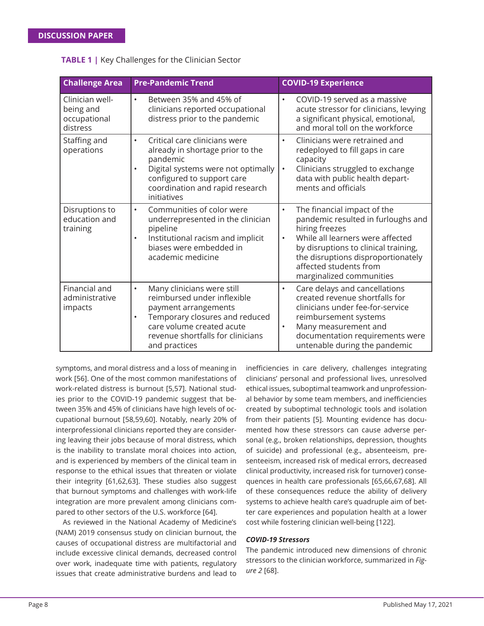| <b>Challenge Area</b>                                    | <b>Pre-Pandemic Trend</b>                                                                                                                                                                                                        | <b>COVID-19 Experience</b>                                                                                                                                                                                                                                                            |
|----------------------------------------------------------|----------------------------------------------------------------------------------------------------------------------------------------------------------------------------------------------------------------------------------|---------------------------------------------------------------------------------------------------------------------------------------------------------------------------------------------------------------------------------------------------------------------------------------|
| Clinician well-<br>being and<br>occupational<br>distress | Between 35% and 45% of<br>$\bullet$<br>clinicians reported occupational<br>distress prior to the pandemic                                                                                                                        | COVID-19 served as a massive<br>acute stressor for clinicians, levying<br>a significant physical, emotional,<br>and moral toll on the workforce                                                                                                                                       |
| Staffing and<br>operations                               | Critical care clinicians were<br>$\bullet$<br>already in shortage prior to the<br>pandemic<br>Digital systems were not optimally<br>$\bullet$<br>configured to support care<br>coordination and rapid research<br>initiatives    | Clinicians were retrained and<br>$\bullet$<br>redeployed to fill gaps in care<br>capacity<br>Clinicians struggled to exchange<br>$\bullet$<br>data with public health depart-<br>ments and officials                                                                                  |
| Disruptions to<br>education and<br>training              | Communities of color were<br>$\bullet$<br>underrepresented in the clinician<br>pipeline<br>Institutional racism and implicit<br>$\bullet$<br>biases were embedded in<br>academic medicine                                        | The financial impact of the<br>$\bullet$<br>pandemic resulted in furloughs and<br>hiring freezes<br>While all learners were affected<br>$\bullet$<br>by disruptions to clinical training,<br>the disruptions disproportionately<br>affected students from<br>marginalized communities |
| Financial and<br>administrative<br>impacts               | Many clinicians were still<br>$\bullet$<br>reimbursed under inflexible<br>payment arrangements<br>Temporary closures and reduced<br>$\bullet$<br>care volume created acute<br>revenue shortfalls for clinicians<br>and practices | Care delays and cancellations<br>$\bullet$<br>created revenue shortfalls for<br>clinicians under fee-for-service<br>reimbursement systems<br>Many measurement and<br>$\bullet$<br>documentation requirements were<br>untenable during the pandemic                                    |

## **TABLE 1 |** Key Challenges for the Clinician Sector

symptoms, and moral distress and a loss of meaning in work [56]. One of the most common manifestations of work-related distress is burnout [5,57]. National studies prior to the COVID-19 pandemic suggest that between 35% and 45% of clinicians have high levels of occupational burnout [58,59,60]. Notably, nearly 20% of interprofessional clinicians reported they are considering leaving their jobs because of moral distress, which is the inability to translate moral choices into action, and is experienced by members of the clinical team in response to the ethical issues that threaten or violate their integrity [61,62,63]. These studies also suggest that burnout symptoms and challenges with work-life integration are more prevalent among clinicians compared to other sectors of the U.S. workforce [64].

As reviewed in the National Academy of Medicine's (NAM) 2019 consensus study on clinician burnout, the causes of occupational distress are multifactorial and include excessive clinical demands, decreased control over work, inadequate time with patients, regulatory issues that create administrative burdens and lead to inefficiencies in care delivery, challenges integrating clinicians' personal and professional lives, unresolved ethical issues, suboptimal teamwork and unprofessional behavior by some team members, and inefficiencies created by suboptimal technologic tools and isolation from their patients [5]. Mounting evidence has documented how these stressors can cause adverse personal (e.g., broken relationships, depression, thoughts of suicide) and professional (e.g., absenteeism, presenteeism, increased risk of medical errors, decreased clinical productivity, increased risk for turnover) consequences in health care professionals [65,66,67,68]. All of these consequences reduce the ability of delivery systems to achieve health care's quadruple aim of better care experiences and population health at a lower cost while fostering clinician well-being [122].

## *COVID-19 Stressors*

The pandemic introduced new dimensions of chronic stressors to the clinician workforce, summarized in *Figure 2* [68].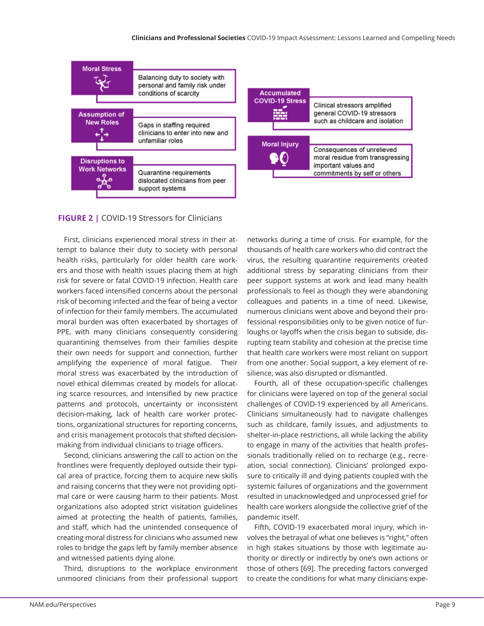

#### **FIGURE 2 |** COVID-19 Stressors for Clinicians

First, clinicians experienced moral stress in their attempt to balance their duty to society with personal health risks, particularly for older health care workers and those with health issues placing them at high risk for severe or fatal COVID-19 infection. Health care workers faced intensified concerns about the personal risk of becoming infected and the fear of being a vector of infection for their family members. The accumulated moral burden was often exacerbated by shortages of PPE, with many clinicians consequently considering quarantining themselves from their families despite their own needs for support and connection, further amplifying the experience of moral fatigue. Their moral stress was exacerbated by the introduction of novel ethical dilemmas created by models for allocating scarce resources, and intensified by new practice patterns and protocols, uncertainty or inconsistent decision-making, lack of health care worker protections, organizational structures for reporting concerns, and crisis management protocols that shifted decisionmaking from individual clinicians to triage officers.

Second, clinicians answering the call to action on the frontlines were frequently deployed outside their typical area of practice, forcing them to acquire new skills and raising concerns that they were not providing optimal care or were causing harm to their patients. Most organizations also adopted strict visitation guidelines aimed at protecting the health of patients, families, and staff, which had the unintended consequence of creating moral distress for clinicians who assumed new roles to bridge the gaps left by family member absence and witnessed patients dying alone.

Third, disruptions to the workplace environment unmoored clinicians from their professional support networks during a time of crisis. For example, for the thousands of health care workers who did contract the virus, the resulting quarantine requirements created additional stress by separating clinicians from their peer support systems at work and lead many health professionals to feel as though they were abandoning colleagues and patients in a time of need. Likewise, numerous clinicians went above and beyond their professional responsibilities only to be given notice of furloughs or layoffs when the crisis began to subside, disrupting team stability and cohesion at the precise time that health care workers were most reliant on support from one another. Social support, a key element of resilience, was also disrupted or dismantled.

Fourth, all of these occupation-specific challenges for clinicians were layered on top of the general social challenges of COVID-19 experienced by all Americans. Clinicians simultaneously had to navigate challenges such as childcare, family issues, and adjustments to shelter-in-place restrictions, all while lacking the ability to engage in many of the activities that health professionals traditionally relied on to recharge (e.g., recreation, social connection). Clinicians' prolonged exposure to critically ill and dying patients coupled with the systemic failures of organizations and the government resulted in unacknowledged and unprocessed grief for health care workers alongside the collective grief of the pandemic itself.

Fifth, COVID-19 exacerbated moral injury, which involves the betrayal of what one believes is "right," often in high stakes situations by those with legitimate authority or directly or indirectly by one's own actions or those of others [69]. The preceding factors converged to create the conditions for what many clinicians expe-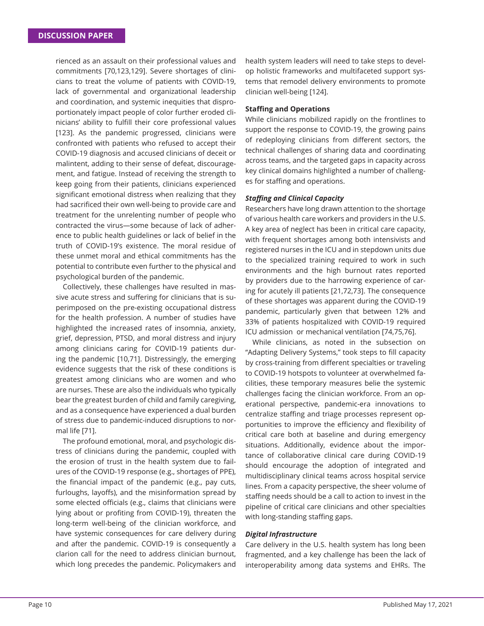rienced as an assault on their professional values and commitments [70,123,129]. Severe shortages of clinicians to treat the volume of patients with COVID-19, lack of governmental and organizational leadership and coordination, and systemic inequities that disproportionately impact people of color further eroded clinicians' ability to fulfill their core professional values [123]. As the pandemic progressed, clinicians were confronted with patients who refused to accept their COVID-19 diagnosis and accused clinicians of deceit or malintent, adding to their sense of defeat, discouragement, and fatigue. Instead of receiving the strength to keep going from their patients, clinicians experienced significant emotional distress when realizing that they had sacrificed their own well-being to provide care and treatment for the unrelenting number of people who contracted the virus—some because of lack of adherence to public health guidelines or lack of belief in the truth of COVID-19's existence. The moral residue of these unmet moral and ethical commitments has the potential to contribute even further to the physical and psychological burden of the pandemic.

Collectively, these challenges have resulted in massive acute stress and suffering for clinicians that is superimposed on the pre-existing occupational distress for the health profession. A number of studies have highlighted the increased rates of insomnia, anxiety, grief, depression, PTSD, and moral distress and injury among clinicians caring for COVID-19 patients during the pandemic [10,71]. Distressingly, the emerging evidence suggests that the risk of these conditions is greatest among clinicians who are women and who are nurses. These are also the individuals who typically bear the greatest burden of child and family caregiving, and as a consequence have experienced a dual burden of stress due to pandemic-induced disruptions to normal life [71].

The profound emotional, moral, and psychologic distress of clinicians during the pandemic, coupled with the erosion of trust in the health system due to failures of the COVID-19 response (e.g., shortages of PPE), the financial impact of the pandemic (e.g., pay cuts, furloughs, layoffs), and the misinformation spread by some elected officials (e.g., claims that clinicians were lying about or profiting from COVID-19), threaten the long-term well-being of the clinician workforce, and have systemic consequences for care delivery during and after the pandemic. COVID-19 is consequently a clarion call for the need to address clinician burnout, which long precedes the pandemic. Policymakers and

health system leaders will need to take steps to develop holistic frameworks and multifaceted support systems that remodel delivery environments to promote clinician well-being [124].

## **Staffi ng and Operations**

While clinicians mobilized rapidly on the frontlines to support the response to COVID-19, the growing pains of redeploying clinicians from different sectors, the technical challenges of sharing data and coordinating across teams, and the targeted gaps in capacity across key clinical domains highlighted a number of challenges for staffing and operations.

## **Staffing and Clinical Capacity**

Researchers have long drawn attention to the shortage of various health care workers and providers in the U.S. A key area of neglect has been in critical care capacity, with frequent shortages among both intensivists and registered nurses in the ICU and in stepdown units due to the specialized training required to work in such environments and the high burnout rates reported by providers due to the harrowing experience of caring for acutely ill patients [21,72,73]. The consequence of these shortages was apparent during the COVID-19 pandemic, particularly given that between 12% and 33% of patients hospitalized with COVID-19 required ICU admission or mechanical ventilation [74,75,76].

While clinicians, as noted in the subsection on "Adapting Delivery Systems," took steps to fill capacity by cross-training from different specialties or traveling to COVID-19 hotspots to volunteer at overwhelmed facilities, these temporary measures belie the systemic challenges facing the clinician workforce. From an operational perspective, pandemic-era innovations to centralize staffing and triage processes represent opportunities to improve the efficiency and flexibility of critical care both at baseline and during emergency situations. Additionally, evidence about the importance of collaborative clinical care during COVID-19 should encourage the adoption of integrated and multidisciplinary clinical teams across hospital service lines. From a capacity perspective, the sheer volume of staffing needs should be a call to action to invest in the pipeline of critical care clinicians and other specialties with long-standing staffing gaps.

## *Digital Infrastructure*

Care delivery in the U.S. health system has long been fragmented, and a key challenge has been the lack of interoperability among data systems and EHRs. The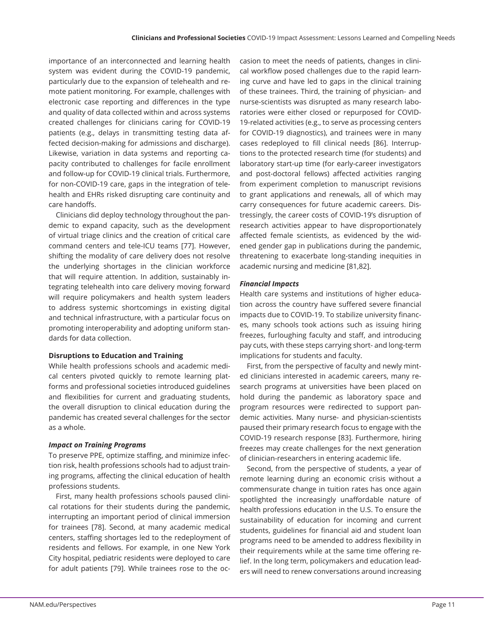importance of an interconnected and learning health system was evident during the COVID-19 pandemic, particularly due to the expansion of telehealth and remote patient monitoring. For example, challenges with electronic case reporting and differences in the type and quality of data collected within and across systems created challenges for clinicians caring for COVID-19 patients (e.g., delays in transmitting testing data affected decision-making for admissions and discharge). Likewise, variation in data systems and reporting capacity contributed to challenges for facile enrollment and follow-up for COVID-19 clinical trials. Furthermore, for non-COVID-19 care, gaps in the integration of telehealth and EHRs risked disrupting care continuity and care handoffs.

Clinicians did deploy technology throughout the pandemic to expand capacity, such as the development of virtual triage clinics and the creation of critical care command centers and tele-ICU teams [77]. However, shifting the modality of care delivery does not resolve the underlying shortages in the clinician workforce that will require attention. In addition, sustainably integrating telehealth into care delivery moving forward will require policymakers and health system leaders to address systemic shortcomings in existing digital and technical infrastructure, with a particular focus on promoting interoperability and adopting uniform standards for data collection.

## **Disruptions to Education and Training**

While health professions schools and academic medical centers pivoted quickly to remote learning platforms and professional societies introduced guidelines and flexibilities for current and graduating students, the overall disruption to clinical education during the pandemic has created several challenges for the sector as a whole.

#### *Impact on Training Programs*

To preserve PPE, optimize staffing, and minimize infection risk, health professions schools had to adjust training programs, affecting the clinical education of health professions students.

First, many health professions schools paused clinical rotations for their students during the pandemic, interrupting an important period of clinical immersion for trainees [78]. Second, at many academic medical centers, staffing shortages led to the redeployment of residents and fellows. For example, in one New York City hospital, pediatric residents were deployed to care for adult patients [79]. While trainees rose to the oc-

casion to meet the needs of patients, changes in clinical workflow posed challenges due to the rapid learning curve and have led to gaps in the clinical training of these trainees. Third, the training of physician- and nurse-scientists was disrupted as many research laboratories were either closed or repurposed for COVID-19-related activities (e.g., to serve as processing centers for COVID-19 diagnostics), and trainees were in many cases redeployed to fill clinical needs [86]. Interruptions to the protected research time (for students) and laboratory start-up time (for early-career investigators and post-doctoral fellows) affected activities ranging from experiment completion to manuscript revisions to grant applications and renewals, all of which may carry consequences for future academic careers. Distressingly, the career costs of COVID-19's disruption of research activities appear to have disproportionately affected female scientists, as evidenced by the widened gender gap in publications during the pandemic, threatening to exacerbate long-standing inequities in academic nursing and medicine [81,82].

## *Financial Impacts*

Health care systems and institutions of higher education across the country have suffered severe financial impacts due to COVID-19. To stabilize university finances, many schools took actions such as issuing hiring freezes, furloughing faculty and staff, and introducing pay cuts, with these steps carrying short- and long-term implications for students and faculty.

First, from the perspective of faculty and newly minted clinicians interested in academic careers, many research programs at universities have been placed on hold during the pandemic as laboratory space and program resources were redirected to support pandemic activities. Many nurse- and physician-scientists paused their primary research focus to engage with the COVID-19 research response [83]. Furthermore, hiring freezes may create challenges for the next generation of clinician-researchers in entering academic life.

Second, from the perspective of students, a year of remote learning during an economic crisis without a commensurate change in tuition rates has once again spotlighted the increasingly unaffordable nature of health professions education in the U.S. To ensure the sustainability of education for incoming and current students, guidelines for financial aid and student loan programs need to be amended to address flexibility in their requirements while at the same time offering relief. In the long term, policymakers and education leaders will need to renew conversations around increasing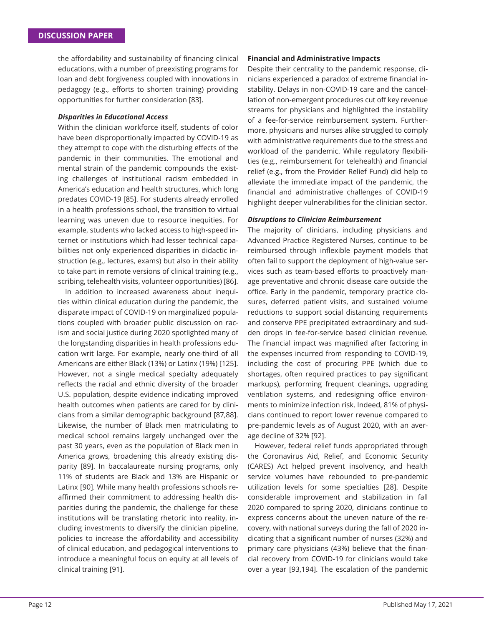the affordability and sustainability of financing clinical educations, with a number of preexisting programs for loan and debt forgiveness coupled with innovations in pedagogy (e.g., efforts to shorten training) providing opportunities for further consideration [83].

## *Disparities in Educational Access*

Within the clinician workforce itself, students of color have been disproportionally impacted by COVID-19 as they attempt to cope with the disturbing effects of the pandemic in their communities. The emotional and mental strain of the pandemic compounds the existing challenges of institutional racism embedded in America's education and health structures, which long predates COVID-19 [85]. For students already enrolled in a health professions school, the transition to virtual learning was uneven due to resource inequities. For example, students who lacked access to high-speed internet or institutions which had lesser technical capabilities not only experienced disparities in didactic instruction (e.g., lectures, exams) but also in their ability to take part in remote versions of clinical training (e.g., scribing, telehealth visits, volunteer opportunities) [86].

In addition to increased awareness about inequities within clinical education during the pandemic, the disparate impact of COVID-19 on marginalized populations coupled with broader public discussion on racism and social justice during 2020 spotlighted many of the longstanding disparities in health professions education writ large. For example, nearly one-third of all Americans are either Black (13%) or Latinx (19%) [125]. However, not a single medical specialty adequately reflects the racial and ethnic diversity of the broader U.S. population, despite evidence indicating improved health outcomes when patients are cared for by clinicians from a similar demographic background [87,88]. Likewise, the number of Black men matriculating to medical school remains largely unchanged over the past 30 years, even as the population of Black men in America grows, broadening this already existing disparity [89]. In baccalaureate nursing programs, only 11% of students are Black and 13% are Hispanic or Latinx [90]. While many health professions schools reaffirmed their commitment to addressing health disparities during the pandemic, the challenge for these institutions will be translating rhetoric into reality, including investments to diversify the clinician pipeline, policies to increase the affordability and accessibility of clinical education, and pedagogical interventions to introduce a meaningful focus on equity at all levels of clinical training [91].

#### **Financial and Administrative Impacts**

Despite their centrality to the pandemic response, clinicians experienced a paradox of extreme financial instability. Delays in non-COVID-19 care and the cancellation of non-emergent procedures cut off key revenue streams for physicians and highlighted the instability of a fee-for-service reimbursement system. Furthermore, physicians and nurses alike struggled to comply with administrative requirements due to the stress and workload of the pandemic. While regulatory flexibilities (e.g., reimbursement for telehealth) and financial relief (e.g., from the Provider Relief Fund) did help to alleviate the immediate impact of the pandemic, the financial and administrative challenges of COVID-19 highlight deeper vulnerabilities for the clinician sector.

## *Disruptions to Clinician Reimbursement*

The majority of clinicians, including physicians and Advanced Practice Registered Nurses, continue to be reimbursed through inflexible payment models that often fail to support the deployment of high-value services such as team-based efforts to proactively manage preventative and chronic disease care outside the office. Early in the pandemic, temporary practice closures, deferred patient visits, and sustained volume reductions to support social distancing requirements and conserve PPE precipitated extraordinary and sudden drops in fee-for-service based clinician revenue. The financial impact was magnified after factoring in the expenses incurred from responding to COVID-19, including the cost of procuring PPE (which due to shortages, often required practices to pay significant markups), performing frequent cleanings, upgrading ventilation systems, and redesigning office environments to minimize infection risk. Indeed, 81% of physicians continued to report lower revenue compared to pre-pandemic levels as of August 2020, with an average decline of 32% [92].

However, federal relief funds appropriated through the Coronavirus Aid, Relief, and Economic Security (CARES) Act helped prevent insolvency, and health service volumes have rebounded to pre-pandemic utilization levels for some specialties [28]. Despite considerable improvement and stabilization in fall 2020 compared to spring 2020, clinicians continue to express concerns about the uneven nature of the recovery, with national surveys during the fall of 2020 indicating that a significant number of nurses (32%) and primary care physicians (43%) believe that the financial recovery from COVID-19 for clinicians would take over a year [93,194]. The escalation of the pandemic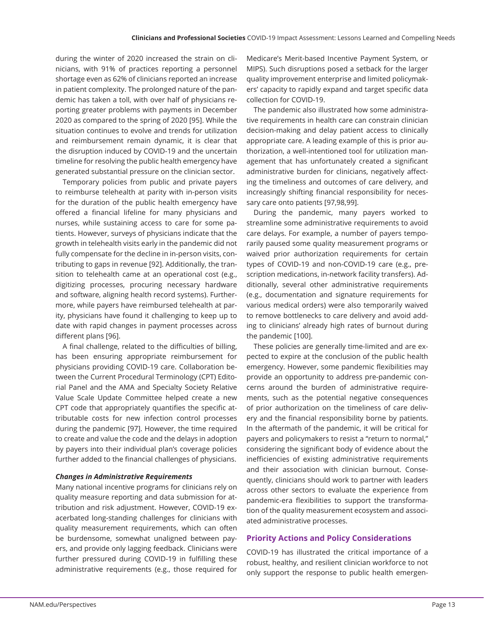during the winter of 2020 increased the strain on clinicians, with 91% of practices reporting a personnel shortage even as 62% of clinicians reported an increase in patient complexity. The prolonged nature of the pandemic has taken a toll, with over half of physicians reporting greater problems with payments in December 2020 as compared to the spring of 2020 [95]. While the situation continues to evolve and trends for utilization and reimbursement remain dynamic, it is clear that the disruption induced by COVID-19 and the uncertain timeline for resolving the public health emergency have generated substantial pressure on the clinician sector.

Temporary policies from public and private payers to reimburse telehealth at parity with in-person visits for the duration of the public health emergency have offered a financial lifeline for many physicians and nurses, while sustaining access to care for some patients. However, surveys of physicians indicate that the growth in telehealth visits early in the pandemic did not fully compensate for the decline in in-person visits, contributing to gaps in revenue [92]. Additionally, the transition to telehealth came at an operational cost (e.g., digitizing processes, procuring necessary hardware and software, aligning health record systems). Furthermore, while payers have reimbursed telehealth at parity, physicians have found it challenging to keep up to date with rapid changes in payment processes across different plans [96].

A final challenge, related to the difficulties of billing, has been ensuring appropriate reimbursement for physicians providing COVID-19 care. Collaboration between the Current Procedural Terminology (CPT) Editorial Panel and the AMA and Specialty Society Relative Value Scale Update Committee helped create a new CPT code that appropriately quantifies the specific attributable costs for new infection control processes during the pandemic [97]. However, the time required to create and value the code and the delays in adoption by payers into their individual plan's coverage policies further added to the financial challenges of physicians.

#### *Changes in Administrative Requirements*

Many national incentive programs for clinicians rely on quality measure reporting and data submission for attribution and risk adjustment. However, COVID-19 exacerbated long-standing challenges for clinicians with quality measurement requirements, which can often be burdensome, somewhat unaligned between payers, and provide only lagging feedback. Clinicians were further pressured during COVID-19 in fulfilling these administrative requirements (e.g., those required for Medicare's Merit-based Incentive Payment System, or MIPS). Such disruptions posed a setback for the larger quality improvement enterprise and limited policymakers' capacity to rapidly expand and target specific data collection for COVID-19.

The pandemic also illustrated how some administrative requirements in health care can constrain clinician decision-making and delay patient access to clinically appropriate care. A leading example of this is prior authorization, a well-intentioned tool for utilization management that has unfortunately created a significant administrative burden for clinicians, negatively affecting the timeliness and outcomes of care delivery, and increasingly shifting financial responsibility for necessary care onto patients [97,98,99].

During the pandemic, many payers worked to streamline some administrative requirements to avoid care delays. For example, a number of payers temporarily paused some quality measurement programs or waived prior authorization requirements for certain types of COVID-19 and non-COVID-19 care (e.g., prescription medications, in-network facility transfers). Additionally, several other administrative requirements (e.g., documentation and signature requirements for various medical orders) were also temporarily waived to remove bottlenecks to care delivery and avoid adding to clinicians' already high rates of burnout during the pandemic [100].

These policies are generally time-limited and are expected to expire at the conclusion of the public health emergency. However, some pandemic flexibilities may provide an opportunity to address pre-pandemic concerns around the burden of administrative requirements, such as the potential negative consequences of prior authorization on the timeliness of care delivery and the financial responsibility borne by patients. In the aftermath of the pandemic, it will be critical for payers and policymakers to resist a "return to normal," considering the significant body of evidence about the inefficiencies of existing administrative requirements and their association with clinician burnout. Consequently, clinicians should work to partner with leaders across other sectors to evaluate the experience from pandemic-era flexibilities to support the transformation of the quality measurement ecosystem and associated administrative processes.

## **Priority Actions and Policy Considerations**

COVID-19 has illustrated the critical importance of a robust, healthy, and resilient clinician workforce to not only support the response to public health emergen-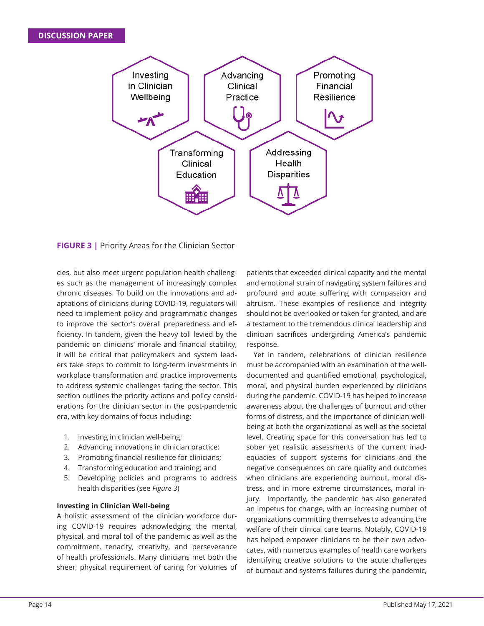

**FIGURE 3 |** Priority Areas for the Clinician Sector

cies, but also meet urgent population health challenges such as the management of increasingly complex chronic diseases. To build on the innovations and adaptations of clinicians during COVID-19, regulators will need to implement policy and programmatic changes to improve the sector's overall preparedness and efficiency. In tandem, given the heavy toll levied by the pandemic on clinicians' morale and financial stability, it will be critical that policymakers and system leaders take steps to commit to long-term investments in workplace transformation and practice improvements to address systemic challenges facing the sector. This section outlines the priority actions and policy considerations for the clinician sector in the post-pandemic era, with key domains of focus including:

- 1. Investing in clinician well-being;
- 2. Advancing innovations in clinician practice;
- 3. Promoting financial resilience for clinicians;
- 4. Transforming education and training; and
- 5. Developing policies and programs to address health disparities (see *Figure 3*)

## **Investing in Clinician Well-being**

A holistic assessment of the clinician workforce during COVID-19 requires acknowledging the mental, physical, and moral toll of the pandemic as well as the commitment, tenacity, creativity, and perseverance of health professionals. Many clinicians met both the sheer, physical requirement of caring for volumes of

patients that exceeded clinical capacity and the mental and emotional strain of navigating system failures and profound and acute suffering with compassion and altruism. These examples of resilience and integrity should not be overlooked or taken for granted, and are a testament to the tremendous clinical leadership and clinician sacrifices undergirding America's pandemic response.

Yet in tandem, celebrations of clinician resilience must be accompanied with an examination of the welldocumented and quantified emotional, psychological, moral, and physical burden experienced by clinicians during the pandemic. COVID-19 has helped to increase awareness about the challenges of burnout and other forms of distress, and the importance of clinician wellbeing at both the organizational as well as the societal level. Creating space for this conversation has led to sober yet realistic assessments of the current inadequacies of support systems for clinicians and the negative consequences on care quality and outcomes when clinicians are experiencing burnout, moral distress, and in more extreme circumstances, moral injury. Importantly, the pandemic has also generated an impetus for change, with an increasing number of organizations committing themselves to advancing the welfare of their clinical care teams. Notably, COVID-19 has helped empower clinicians to be their own advocates, with numerous examples of health care workers identifying creative solutions to the acute challenges of burnout and systems failures during the pandemic,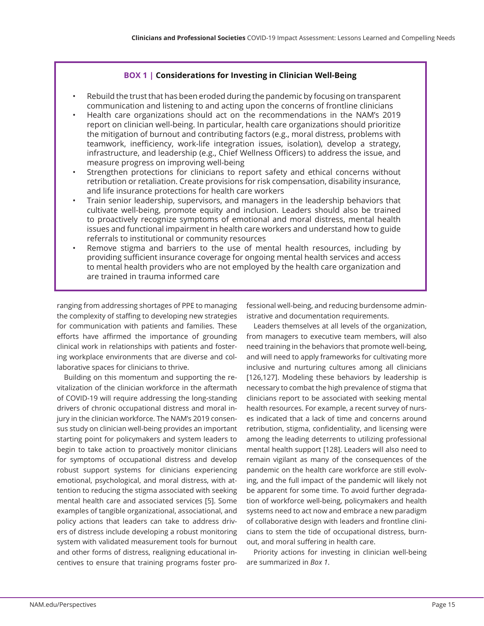# **BOX 1 | Considerations for Investing in Clinician Well-Being**

- Rebuild the trust that has been eroded during the pandemic by focusing on transparent communication and listening to and acting upon the concerns of frontline clinicians
- Health care organizations should act on the recommendations in the NAM's 2019 report on clinician well-being. In particular, health care organizations should prioritize the mitigation of burnout and contributing factors (e.g., moral distress, problems with teamwork, inefficiency, work-life integration issues, isolation), develop a strategy, infrastructure, and leadership (e.g., Chief Wellness Officers) to address the issue, and measure progress on improving well-being
- Strengthen protections for clinicians to report safety and ethical concerns without retribution or retaliation. Create provisions for risk compensation, disability insurance, and life insurance protections for health care workers
- Train senior leadership, supervisors, and managers in the leadership behaviors that cultivate well-being, promote equity and inclusion. Leaders should also be trained to proactively recognize symptoms of emotional and moral distress, mental health issues and functional impairment in health care workers and understand how to guide referrals to institutional or community resources
- Remove stigma and barriers to the use of mental health resources, including by providing sufficient insurance coverage for ongoing mental health services and access to mental health providers who are not employed by the health care organization and are trained in trauma informed care

ranging from addressing shortages of PPE to managing the complexity of staffing to developing new strategies for communication with patients and families. These efforts have affirmed the importance of grounding clinical work in relationships with patients and fostering workplace environments that are diverse and collaborative spaces for clinicians to thrive.

Building on this momentum and supporting the revitalization of the clinician workforce in the aftermath of COVID-19 will require addressing the long-standing drivers of chronic occupational distress and moral injury in the clinician workforce. The NAM's 2019 consensus study on clinician well-being provides an important starting point for policymakers and system leaders to begin to take action to proactively monitor clinicians for symptoms of occupational distress and develop robust support systems for clinicians experiencing emotional, psychological, and moral distress, with attention to reducing the stigma associated with seeking mental health care and associated services [5]. Some examples of tangible organizational, associational, and policy actions that leaders can take to address drivers of distress include developing a robust monitoring system with validated measurement tools for burnout and other forms of distress, realigning educational incentives to ensure that training programs foster pro-

fessional well-being, and reducing burdensome administrative and documentation requirements.

Leaders themselves at all levels of the organization, from managers to executive team members, will also need training in the behaviors that promote well-being, and will need to apply frameworks for cultivating more inclusive and nurturing cultures among all clinicians [126,127]. Modeling these behaviors by leadership is necessary to combat the high prevalence of stigma that clinicians report to be associated with seeking mental health resources. For example, a recent survey of nurses indicated that a lack of time and concerns around retribution, stigma, confidentiality, and licensing were among the leading deterrents to utilizing professional mental health support [128]. Leaders will also need to remain vigilant as many of the consequences of the pandemic on the health care workforce are still evolving, and the full impact of the pandemic will likely not be apparent for some time. To avoid further degradation of workforce well-being, policymakers and health systems need to act now and embrace a new paradigm of collaborative design with leaders and frontline clinicians to stem the tide of occupational distress, burnout, and moral suffering in health care.

Priority actions for investing in clinician well-being are summarized in *Box 1*.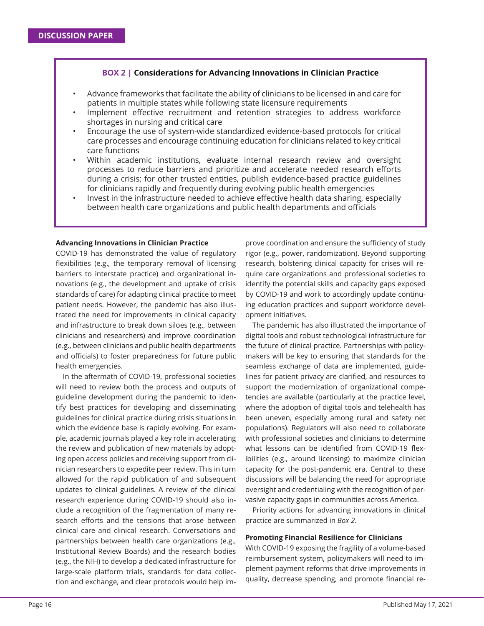# **BOX 2 | Considerations for Advancing Innovations in Clinician Practice**

- Advance frameworks that facilitate the ability of clinicians to be licensed in and care for patients in multiple states while following state licensure requirements
- Implement effective recruitment and retention strategies to address workforce shortages in nursing and critical care
- Encourage the use of system-wide standardized evidence-based protocols for critical care processes and encourage continuing education for clinicians related to key critical care functions
- Within academic institutions, evaluate internal research review and oversight processes to reduce barriers and prioritize and accelerate needed research efforts during a crisis; for other trusted entities, publish evidence-based practice guidelines for clinicians rapidly and frequently during evolving public health emergencies
- Invest in the infrastructure needed to achieve effective health data sharing, especially between health care organizations and public health departments and officials

#### **Advancing Innovations in Clinician Practice**

COVID-19 has demonstrated the value of regulatory flexibilities (e.g., the temporary removal of licensing barriers to interstate practice) and organizational innovations (e.g., the development and uptake of crisis standards of care) for adapting clinical practice to meet patient needs. However, the pandemic has also illustrated the need for improvements in clinical capacity and infrastructure to break down siloes (e.g., between clinicians and researchers) and improve coordination (e.g., between clinicians and public health departments and officials) to foster preparedness for future public health emergencies.

In the aftermath of COVID-19, professional societies will need to review both the process and outputs of guideline development during the pandemic to identify best practices for developing and disseminating guidelines for clinical practice during crisis situations in which the evidence base is rapidly evolving. For example, academic journals played a key role in accelerating the review and publication of new materials by adopting open access policies and receiving support from clinician researchers to expedite peer review. This in turn allowed for the rapid publication of and subsequent updates to clinical guidelines. A review of the clinical research experience during COVID-19 should also include a recognition of the fragmentation of many research efforts and the tensions that arose between clinical care and clinical research. Conversations and partnerships between health care organizations (e.g., Institutional Review Boards) and the research bodies (e.g., the NIH) to develop a dedicated infrastructure for large-scale platform trials, standards for data collection and exchange, and clear protocols would help improve coordination and ensure the sufficiency of study rigor (e.g., power, randomization). Beyond supporting research, bolstering clinical capacity for crises will require care organizations and professional societies to identify the potential skills and capacity gaps exposed by COVID-19 and work to accordingly update continuing education practices and support workforce development initiatives.

The pandemic has also illustrated the importance of digital tools and robust technological infrastructure for the future of clinical practice. Partnerships with policymakers will be key to ensuring that standards for the seamless exchange of data are implemented, guidelines for patient privacy are clarified, and resources to support the modernization of organizational competencies are available (particularly at the practice level, where the adoption of digital tools and telehealth has been uneven, especially among rural and safety net populations). Regulators will also need to collaborate with professional societies and clinicians to determine what lessons can be identified from COVID-19 flexibilities (e.g., around licensing) to maximize clinician capacity for the post-pandemic era. Central to these discussions will be balancing the need for appropriate oversight and credentialing with the recognition of pervasive capacity gaps in communities across America.

Priority actions for advancing innovations in clinical practice are summarized in *Box 2*.

#### **Promoting Financial Resilience for Clinicians**

With COVID-19 exposing the fragility of a volume-based reimbursement system, policymakers will need to implement payment reforms that drive improvements in quality, decrease spending, and promote financial re-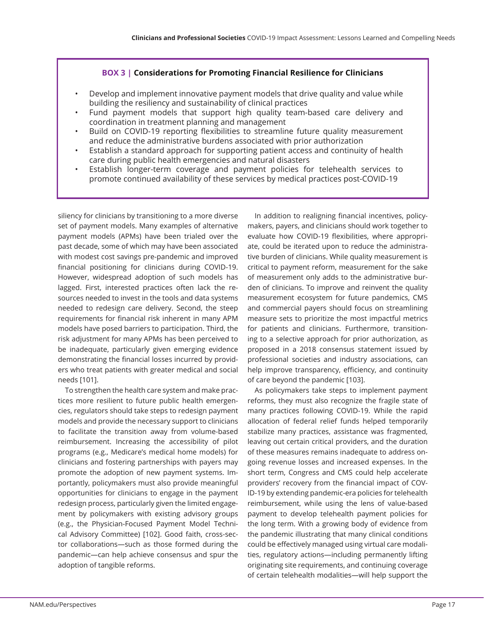# **BOX 3 | Considerations for Promoting Financial Resilience for Clinicians**

- Develop and implement innovative payment models that drive quality and value while building the resiliency and sustainability of clinical practices
- Fund payment models that support high quality team-based care delivery and coordination in treatment planning and management
- Build on COVID-19 reporting flexibilities to streamline future quality measurement and reduce the administrative burdens associated with prior authorization
- Establish a standard approach for supporting patient access and continuity of health care during public health emergencies and natural disasters
- Establish longer-term coverage and payment policies for telehealth services to promote continued availability of these services by medical practices post-COVID-19

siliency for clinicians by transitioning to a more diverse set of payment models. Many examples of alternative payment models (APMs) have been trialed over the past decade, some of which may have been associated with modest cost savings pre-pandemic and improved financial positioning for clinicians during COVID-19. However, widespread adoption of such models has lagged. First, interested practices often lack the resources needed to invest in the tools and data systems needed to redesign care delivery. Second, the steep requirements for financial risk inherent in many APM models have posed barriers to participation. Third, the risk adjustment for many APMs has been perceived to be inadequate, particularly given emerging evidence demonstrating the financial losses incurred by providers who treat patients with greater medical and social needs [101].

To strengthen the health care system and make practices more resilient to future public health emergencies, regulators should take steps to redesign payment models and provide the necessary support to clinicians to facilitate the transition away from volume-based reimbursement. Increasing the accessibility of pilot programs (e.g., Medicare's medical home models) for clinicians and fostering partnerships with payers may promote the adoption of new payment systems. Importantly, policymakers must also provide meaningful opportunities for clinicians to engage in the payment redesign process, particularly given the limited engagement by policymakers with existing advisory groups (e.g., the Physician-Focused Payment Model Technical Advisory Committee) [102]. Good faith, cross-sector collaborations—such as those formed during the pandemic—can help achieve consensus and spur the adoption of tangible reforms.

In addition to realigning financial incentives, policymakers, payers, and clinicians should work together to evaluate how COVID-19 flexibilities, where appropriate, could be iterated upon to reduce the administrative burden of clinicians. While quality measurement is critical to payment reform, measurement for the sake of measurement only adds to the administrative burden of clinicians. To improve and reinvent the quality measurement ecosystem for future pandemics, CMS and commercial payers should focus on streamlining measure sets to prioritize the most impactful metrics for patients and clinicians. Furthermore, transitioning to a selective approach for prior authorization, as proposed in a 2018 consensus statement issued by professional societies and industry associations, can help improve transparency, efficiency, and continuity of care beyond the pandemic [103].

As policymakers take steps to implement payment reforms, they must also recognize the fragile state of many practices following COVID-19. While the rapid allocation of federal relief funds helped temporarily stabilize many practices, assistance was fragmented, leaving out certain critical providers, and the duration of these measures remains inadequate to address ongoing revenue losses and increased expenses. In the short term, Congress and CMS could help accelerate providers' recovery from the financial impact of COV-ID-19 by extending pandemic-era policies for telehealth reimbursement, while using the lens of value-based payment to develop telehealth payment policies for the long term. With a growing body of evidence from the pandemic illustrating that many clinical conditions could be effectively managed using virtual care modalities, regulatory actions—including permanently lifting originating site requirements, and continuing coverage of certain telehealth modalities—will help support the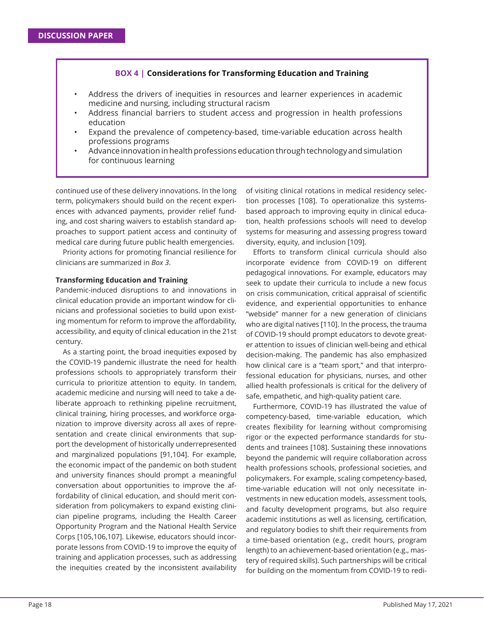## **BOX 4 | Considerations for Transforming Education and Training**

- Address the drivers of inequities in resources and learner experiences in academic medicine and nursing, including structural racism
- Address financial barriers to student access and progression in health professions education
- Expand the prevalence of competency-based, time-variable education across health professions programs
- Advance innovation in health professions education through technology and simulation for continuous learning

continued use of these delivery innovations. In the long term, policymakers should build on the recent experiences with advanced payments, provider relief funding, and cost sharing waivers to establish standard approaches to support patient access and continuity of medical care during future public health emergencies.

Priority actions for promoting financial resilience for clinicians are summarized in *Box 3*.

#### **Transforming Education and Training**

Pandemic-induced disruptions to and innovations in clinical education provide an important window for clinicians and professional societies to build upon existing momentum for reform to improve the affordability, accessibility, and equity of clinical education in the 21st century.

As a starting point, the broad inequities exposed by the COVID-19 pandemic illustrate the need for health professions schools to appropriately transform their curricula to prioritize attention to equity. In tandem, academic medicine and nursing will need to take a deliberate approach to rethinking pipeline recruitment, clinical training, hiring processes, and workforce organization to improve diversity across all axes of representation and create clinical environments that support the development of historically underrepresented and marginalized populations [91,104]. For example, the economic impact of the pandemic on both student and university finances should prompt a meaningful conversation about opportunities to improve the affordability of clinical education, and should merit consideration from policymakers to expand existing clinician pipeline programs, including the Health Career Opportunity Program and the National Health Service Corps [105,106,107]. Likewise, educators should incorporate lessons from COVID-19 to improve the equity of training and application processes, such as addressing the inequities created by the inconsistent availability

of visiting clinical rotations in medical residency selection processes [108]. To operationalize this systemsbased approach to improving equity in clinical education, health professions schools will need to develop systems for measuring and assessing progress toward diversity, equity, and inclusion [109].

Efforts to transform clinical curricula should also incorporate evidence from COVID-19 on different pedagogical innovations. For example, educators may seek to update their curricula to include a new focus on crisis communication, critical appraisal of scientific evidence, and experiential opportunities to enhance "webside" manner for a new generation of clinicians who are digital natives [110]. In the process, the trauma of COVID-19 should prompt educators to devote greater attention to issues of clinician well-being and ethical decision-making. The pandemic has also emphasized how clinical care is a "team sport," and that interprofessional education for physicians, nurses, and other allied health professionals is critical for the delivery of safe, empathetic, and high-quality patient care.

Furthermore, COVID-19 has illustrated the value of competency-based, time-variable education, which creates flexibility for learning without compromising rigor or the expected performance standards for students and trainees [108]. Sustaining these innovations beyond the pandemic will require collaboration across health professions schools, professional societies, and policymakers. For example, scaling competency-based, time-variable education will not only necessitate investments in new education models, assessment tools, and faculty development programs, but also require academic institutions as well as licensing, certification, and regulatory bodies to shift their requirements from a time-based orientation (e.g., credit hours, program length) to an achievement-based orientation (e.g., mastery of required skills). Such partnerships will be critical for building on the momentum from COVID-19 to redi-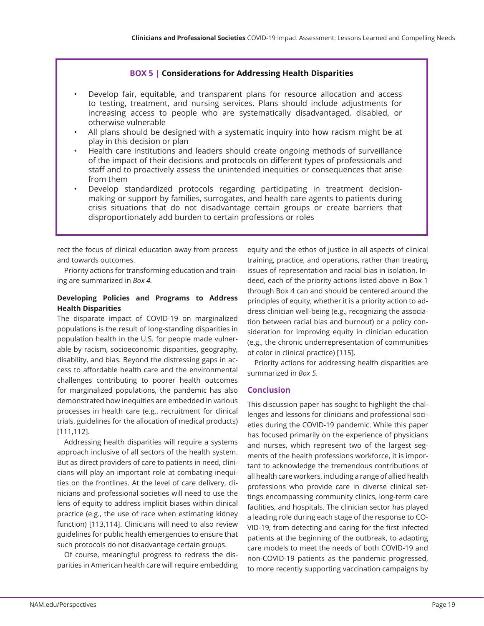# **BOX 5 | Considerations for Addressing Health Disparities**

- Develop fair, equitable, and transparent plans for resource allocation and access to testing, treatment, and nursing services. Plans should include adjustments for increasing access to people who are systematically disadvantaged, disabled, or otherwise vulnerable
- All plans should be designed with a systematic inquiry into how racism might be at play in this decision or plan
- Health care institutions and leaders should create ongoing methods of surveillance of the impact of their decisions and protocols on different types of professionals and staff and to proactively assess the unintended inequities or consequences that arise from them
- Develop standardized protocols regarding participating in treatment decisionmaking or support by families, surrogates, and health care agents to patients during crisis situations that do not disadvantage certain groups or create barriers that disproportionately add burden to certain professions or roles

rect the focus of clinical education away from process and towards outcomes.

Priority actions for transforming education and training are summarized in *Box 4.*

# **Developing Policies and Programs to Address Health Disparities**

The disparate impact of COVID-19 on marginalized populations is the result of long-standing disparities in population health in the U.S. for people made vulnerable by racism, socioeconomic disparities, geography, disability, and bias. Beyond the distressing gaps in access to affordable health care and the environmental challenges contributing to poorer health outcomes for marginalized populations, the pandemic has also demonstrated how inequities are embedded in various processes in health care (e.g., recruitment for clinical trials, guidelines for the allocation of medical products) [111,112].

Addressing health disparities will require a systems approach inclusive of all sectors of the health system. But as direct providers of care to patients in need, clinicians will play an important role at combating inequities on the frontlines. At the level of care delivery, clinicians and professional societies will need to use the lens of equity to address implicit biases within clinical practice (e.g., the use of race when estimating kidney function) [113,114]. Clinicians will need to also review guidelines for public health emergencies to ensure that such protocols do not disadvantage certain groups.

Of course, meaningful progress to redress the disparities in American health care will require embedding equity and the ethos of justice in all aspects of clinical training, practice, and operations, rather than treating issues of representation and racial bias in isolation. Indeed, each of the priority actions listed above in Box 1 through Box 4 can and should be centered around the principles of equity, whether it is a priority action to address clinician well-being (e.g., recognizing the association between racial bias and burnout) or a policy consideration for improving equity in clinician education (e.g., the chronic underrepresentation of communities of color in clinical practice) [115].

Priority actions for addressing health disparities are summarized in *Box 5*.

# **Conclusion**

This discussion paper has sought to highlight the challenges and lessons for clinicians and professional societies during the COVID-19 pandemic. While this paper has focused primarily on the experience of physicians and nurses, which represent two of the largest segments of the health professions workforce, it is important to acknowledge the tremendous contributions of all health care workers, including a range of allied health professions who provide care in diverse clinical settings encompassing community clinics, long-term care facilities, and hospitals. The clinician sector has played a leading role during each stage of the response to CO-VID-19, from detecting and caring for the first infected patients at the beginning of the outbreak, to adapting care models to meet the needs of both COVID-19 and non-COVID-19 patients as the pandemic progressed, to more recently supporting vaccination campaigns by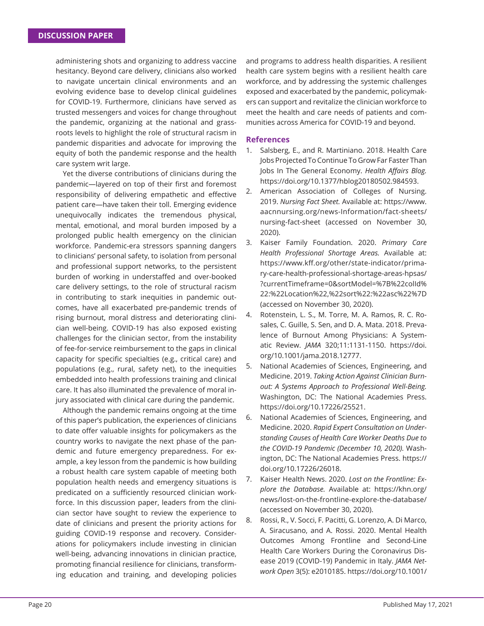administering shots and organizing to address vaccine hesitancy. Beyond care delivery, clinicians also worked to navigate uncertain clinical environments and an evolving evidence base to develop clinical guidelines for COVID-19. Furthermore, clinicians have served as trusted messengers and voices for change throughout the pandemic, organizing at the national and grassroots levels to highlight the role of structural racism in pandemic disparities and advocate for improving the equity of both the pandemic response and the health care system writ large.

Yet the diverse contributions of clinicians during the pandemic—layered on top of their first and foremost responsibility of delivering empathetic and effective patient care—have taken their toll. Emerging evidence unequivocally indicates the tremendous physical, mental, emotional, and moral burden imposed by a prolonged public health emergency on the clinician workforce. Pandemic-era stressors spanning dangers to clinicians' personal safety, to isolation from personal and professional support networks, to the persistent burden of working in understaffed and over-booked care delivery settings, to the role of structural racism in contributing to stark inequities in pandemic outcomes, have all exacerbated pre-pandemic trends of rising burnout, moral distress and deteriorating clinician well-being. COVID-19 has also exposed existing challenges for the clinician sector, from the instability of fee-for-service reimbursement to the gaps in clinical capacity for specific specialties (e.g., critical care) and populations (e.g., rural, safety net), to the inequities embedded into health professions training and clinical care. It has also illuminated the prevalence of moral injury associated with clinical care during the pandemic.

Although the pandemic remains ongoing at the time of this paper's publication, the experiences of clinicians to date offer valuable insights for policymakers as the country works to navigate the next phase of the pandemic and future emergency preparedness. For example, a key lesson from the pandemic is how building a robust health care system capable of meeting both population health needs and emergency situations is predicated on a sufficiently resourced clinician workforce. In this discussion paper, leaders from the clinician sector have sought to review the experience to date of clinicians and present the priority actions for guiding COVID-19 response and recovery. Considerations for policymakers include investing in clinician well-being, advancing innovations in clinician practice, promoting financial resilience for clinicians, transforming education and training, and developing policies

and programs to address health disparities. A resilient health care system begins with a resilient health care workforce, and by addressing the systemic challenges exposed and exacerbated by the pandemic, policymakers can support and revitalize the clinician workforce to meet the health and care needs of patients and communities across America for COVID-19 and beyond.

## **References**

- 1. Salsberg, E., and R. Martiniano. 2018. Health Care Jobs Projected To Continue To Grow Far Faster Than Jobs In The General Economy. *Health Affairs Blog.* https://doi.org/10.1377/hblog20180502.984593.
- 2. American Association of Colleges of Nursing. 2019. *Nursing Fact Sheet.* Available at: https://www. aacnnursing.org/news-Information/fact-sheets/ nursing-fact-sheet (accessed on November 30, 2020).
- 3. Kaiser Family Foundation. 2020. *Primary Care Health Professional Shortage Areas.* Available at: https://www.kff .org/other/state-indicator/primary-care-health-professional-shortage-areas-hpsas/ ?currentTimeframe=0&sortModel=%7B%22colId% 22:%22Location%22,%22sort%22:%22asc%22%7D (accessed on November 30, 2020).
- 4. Rotenstein, L. S., M. Torre, M. A. Ramos, R. C. Rosales, C. Guille, S. Sen, and D. A. Mata. 2018. Prevalence of Burnout Among Physicians: A Systematic Review. *JAMA* 320;11:1131-1150. https://doi. org/10.1001/jama.2018.12777.
- 5. National Academies of Sciences, Engineering, and Medicine. 2019. *Taking Action Against Clinician Burnout: A Systems Approach to Professional Well-Being.*  Washington, DC: The National Academies Press. https://doi.org/10.17226/25521.
- 6. National Academies of Sciences, Engineering, and Medicine. 2020. *Rapid Expert Consultation on Understanding Causes of Health Care Worker Deaths Due to the COVID-19 Pandemic (December 10, 2020).* Washington, DC: The National Academies Press. https:// doi.org/10.17226/26018.
- 7. Kaiser Health News. 2020. *Lost on the Frontline: Explore the Database.* Available at: https://khn.org/ news/lost-on-the-frontline-explore-the-database/ (accessed on November 30, 2020).
- 8. Rossi, R., V. Socci, F. Pacitti, G. Lorenzo, A. Di Marco, A. Siracusano, and A. Rossi. 2020. Mental Health Outcomes Among Frontline and Second-Line Health Care Workers During the Coronavirus Disease 2019 (COVID-19) Pandemic in Italy. *JAMA Network Open* 3(5): e2010185. https://doi.org/10.1001/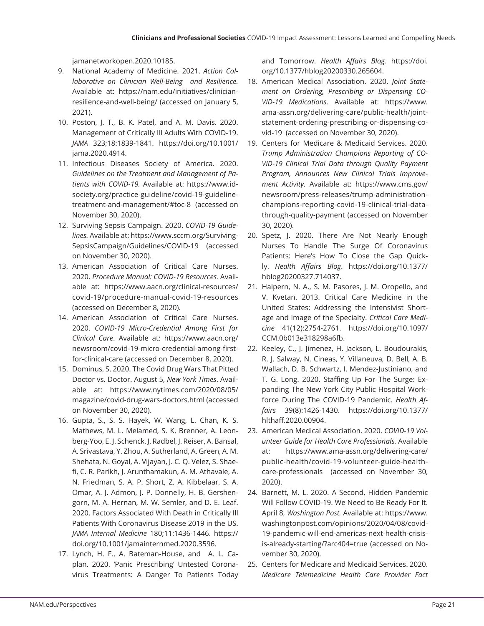jamanetworkopen.2020.10185.

- 9. National Academy of Medicine. 2021. *Action Collaborative on Clinician Well-Being and Resilience.*  Available at: https://nam.edu/initiatives/clinicianresilience-and-well-being/ (accessed on January 5, 2021).
- 10. Poston, J. T., B. K. Patel, and A. M. Davis. 2020. Management of Critically Ill Adults With COVID-19. *JAMA* 323;18:1839-1841. https://doi.org/10.1001/ jama.2020.4914.
- 11. Infectious Diseases Society of America. 2020. *Guidelines on the Treatment and Management of Patients with COVID-19.* Available at: https://www.idsociety.org/practice-guideline/covid-19-guidelinetreatment-and-management/#toc-8 (accessed on November 30, 2020).
- 12. Surviving Sepsis Campaign. 2020. *COVID-19 Guidelines.* Available at: https://www.sccm.org/Surviving-SepsisCampaign/Guidelines/COVID-19 (accessed on November 30, 2020).
- 13. American Association of Critical Care Nurses. 2020. *Procedure Manual: COVID-19 Resources.* Available at: https://www.aacn.org/clinical-resources/ covid-19/procedure-manual-covid-19-resources (accessed on December 8, 2020).
- 14. American Association of Critical Care Nurses. 2020. *COVID-19 Micro-Credential Among First for Clinical Care*. Available at: https://www.aacn.org/ newsroom/covid-19-micro-credential-among-firstfor-clinical-care (accessed on December 8, 2020).
- 15. Dominus, S. 2020. The Covid Drug Wars That Pitted Doctor vs. Doctor. August 5, *New York Times*. Available at: https://www.nytimes.com/2020/08/05/ magazine/covid-drug-wars-doctors.html (accessed on November 30, 2020).
- 16. Gupta, S., S. S. Hayek, W. Wang, L. Chan, K. S. Mathews, M. L. Melamed, S. K. Brenner, A. Leonberg-Yoo, E. J. Schenck, J. Radbel, J. Reiser, A. Bansal, A. Srivastava, Y. Zhou, A. Sutherland, A. Green, A. M. Shehata, N. Goyal, A. Vijayan, J. C. Q. Velez, S. Shaefi, C. R. Parikh, J. Arunthamakun, A. M. Athavale, A. N. Friedman, S. A. P. Short, Z. A. Kibbelaar, S. A. Omar, A. J. Admon, J. P. Donnelly, H. B. Gershengorn, M. A. Hernan, M. W. Semler, and D. E. Leaf. 2020. Factors Associated With Death in Critically Ill Patients With Coronavirus Disease 2019 in the US. *JAMA Internal Medicine* 180;11:1436-1446. https:// doi.org/10.1001/jamainternmed.2020.3596.
- 17. Lynch, H. F., A. Bateman-House, and A. L. Caplan. 2020. 'Panic Prescribing' Untested Coronavirus Treatments: A Danger To Patients Today

and Tomorrow. *Health Affairs Blog.* https://doi. org/10.1377/hblog20200330.265604.

- 18. American Medical Association. 2020. *Joint Statement on Ordering, Prescribing or Dispensing CO-VID-19 Medications.* Available at: https://www. ama-assn.org/delivering-care/public-health/jointstatement-ordering-prescribing-or-dispensing-covid-19 (accessed on November 30, 2020).
- 19. Centers for Medicare & Medicaid Services. 2020. *Trump Administration Champions Reporting of CO-VID-19 Clinical Trial Data through Quality Payment Program, Announces New Clinical Trials Improvement Activity.* Available at: https://www.cms.gov/ newsroom/press-releases/trump-administrationchampions-reporting-covid-19-clinical-trial-datathrough-quality-payment (accessed on November 30, 2020).
- 20. Spetz, J. 2020. There Are Not Nearly Enough Nurses To Handle The Surge Of Coronavirus Patients: Here's How To Close the Gap Quickly. *Health Affairs Blog.* https://doi.org/10.1377/ hblog20200327.714037.
- 21. Halpern, N. A., S. M. Pasores, J. M. Oropello, and V. Kvetan. 2013. Critical Care Medicine in the United States: Addressing the Intensivist Shortage and Image of the Specialty. *Critical Care Medicine* 41(12):2754-2761. https://doi.org/10.1097/ CCM.0b013e318298a6fb.
- 22. Keeley, C., J. Jimenez, H. Jackson, L. Boudourakis, R. J. Salway, N. Cineas, Y. Villaneuva, D. Bell, A. B. Wallach, D. B. Schwartz, I. Mendez-Justiniano, and T. G. Long. 2020. Staffing Up For The Surge: Expanding The New York City Public Hospital Workforce During The COVID-19 Pandemic. *Health Affairs* 39(8):1426-1430. https://doi.org/10.1377/ hlthaff .2020.00904.
- 23. American Medical Association. 2020. *COVID-19 Volunteer Guide for Health Care Professionals.* Available at: https://www.ama-assn.org/delivering-care/ public-health/covid-19-volunteer-guide-healthcare-professionals (accessed on November 30, 2020).
- 24. Barnett, M. L. 2020. A Second, Hidden Pandemic Will Follow COVID-19. We Need to Be Ready For It. April 8, *Washington Post.* Available at: https://www. washingtonpost.com/opinions/2020/04/08/covid-19-pandemic-will-end-americas-next-health-crisisis-already-starting/?arc404=true (accessed on November 30, 2020).
- 25. Centers for Medicare and Medicaid Services. 2020. *Medicare Telemedicine Health Care Provider Fact*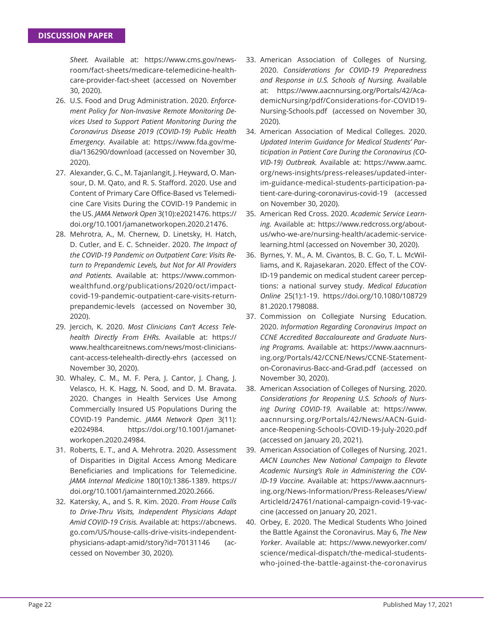*Sheet.* Available at: https://www.cms.gov/newsroom/fact-sheets/medicare-telemedicine-healthcare-provider-fact-sheet (accessed on November 30, 2020).

- 26. U.S. Food and Drug Administration. 2020. *Enforcement Policy for Non-Invasive Remote Monitoring Devices Used to Support Patient Monitoring During the Coronavirus Disease 2019 (COVID-19) Public Health Emergency.* Available at: https://www.fda.gov/media/136290/download (accessed on November 30, 2020).
- 27. Alexander, G. C., M. Tajanlangit, J. Heyward, O. Mansour, D. M. Qato, and R. S. Stafford. 2020. Use and Content of Primary Care Office-Based vs Telemedicine Care Visits During the COVID-19 Pandemic in the US. *JAMA Network Open* 3(10):e2021476. https:// doi.org/10.1001/jamanetworkopen.2020.21476.
- 28. Mehrotra, A., M. Chernew, D. Linetsky, H. Hatch, D. Cutler, and E. C. Schneider. 2020. *The Impact of the COVID-19 Pandemic on Outpatient Care: Visits Return to Prepandemic Levels, but Not for All Providers and Patients.* Available at: https://www.commonwealthfund.org/publications/2020/oct/impactcovid-19-pandemic-outpatient-care-visits-returnprepandemic-levels (accessed on November 30, 2020).
- 29. Jercich, K. 2020. *Most Clinicians Can't Access Telehealth Directly From EHRs.* Available at: https:// www.healthcareitnews.com/news/most-clinicianscant-access-telehealth-directly-ehrs (accessed on November 30, 2020).
- 30. Whaley, C. M., M. F. Pera, J. Cantor, J. Chang, J. Velasco, H. K. Hagg, N. Sood, and D. M. Bravata. 2020. Changes in Health Services Use Among Commercially Insured US Populations During the COVID-19 Pandemic. *JAMA Network Open* 3(11): e2024984. https://doi.org/10.1001/jamanetworkopen.2020.24984.
- 31. Roberts, E. T., and A. Mehrotra. 2020. Assessment of Disparities in Digital Access Among Medicare Beneficiaries and Implications for Telemedicine. *JAMA Internal Medicine* 180(10):1386-1389. https:// doi.org/10.1001/jamainternmed.2020.2666.
- 32. Katersky, A., and S. R. Kim. 2020. *From House Calls to Drive-Thru Visits, Independent Physicians Adapt Amid COVID-19 Crisis.* Available at: https://abcnews. go.com/US/house-calls-drive-visits-independentphysicians-adapt-amid/story?id=70131146 (accessed on November 30, 2020).
- 33. American Association of Colleges of Nursing. 2020. *Considerations for COVID-19 Preparedness and Response in U.S. Schools of Nursing.* Available at: https://www.aacnnursing.org/Portals/42/AcademicNursing/pdf/Considerations-for-COVID19- Nursing-Schools.pdf (accessed on November 30, 2020).
- 34. American Association of Medical Colleges. 2020. *Updated Interim Guidance for Medical Students' Participation in Patient Care During the Coronavirus (CO-VID-19) Outbreak.* Available at: https://www.aamc. org/news-insights/press-releases/updated-interim-guidance-medical-students-participation-patient-care-during-coronavirus-covid-19 (accessed on November 30, 2020).
- 35. American Red Cross. 2020. *Academic Service Learning.* Available at: https://www.redcross.org/aboutus/who-we-are/nursing-health/academic-servicelearning.html (accessed on November 30, 2020).
- 36. Byrnes, Y. M., A. M. Civantos, B. C. Go, T. L. McWilliams, and K. Rajasekaran. 2020. Effect of the COV-ID-19 pandemic on medical student career perceptions: a national survey study. *Medical Education Online* 25(1):1-19. https://doi.org/10.1080/108729 81.2020.1798088.
- 37. Commission on Collegiate Nursing Education. 2020. *Information Regarding Coronavirus Impact on CCNE Accredited Baccalaureate and Graduate Nursing Programs.* Available at: https://www.aacnnursing.org/Portals/42/CCNE/News/CCNE-Statementon-Coronavirus-Bacc-and-Grad.pdf (accessed on November 30, 2020).
- 38. American Association of Colleges of Nursing. 2020. *Considerations for Reopening U.S. Schools of Nursing During COVID-19.* Available at: https://www. aacnnursing.org/Portals/42/News/AACN-Guidance-Reopening-Schools-COVID-19-July-2020.pdf (accessed on January 20, 2021).
- 39. American Association of Colleges of Nursing. 2021. *AACN Launches New National Campaign to Elevate Academic Nursing's Role in Administering the COV-ID-19 Vaccine.* Available at: https://www.aacnnursing.org/News-Information/Press-Releases/View/ ArticleId/24761/national-campaign-covid-19-vaccine (accessed on January 20, 2021.
- 40. Orbey, E. 2020. The Medical Students Who Joined the Battle Against the Coronavirus. May 6, *The New Yorker*. Available at: https://www.newyorker.com/ science/medical-dispatch/the-medical-studentswho-joined-the-battle-against-the-coronavirus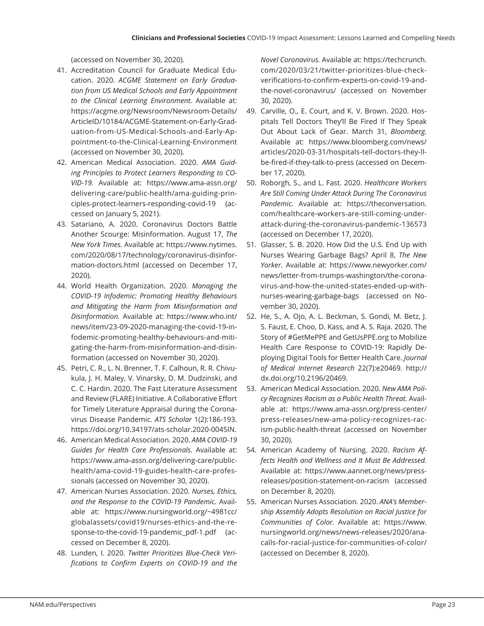(accessed on November 30, 2020).

- 41. Accreditation Council for Graduate Medical Education. 2020. *ACGME Statement on Early Graduation from US Medical Schools and Early Appointment to the Clinical Learning Environment.* Available at: https://acgme.org/Newsroom/Newsroom-Details/ ArticleID/10184/ACGME-Statement-on-Early-Graduation-from-US-Medical-Schools-and-Early-Appointment-to-the-Clinical-Learning-Environment (accessed on November 30, 2020).
- 42. American Medical Association. 2020. *AMA Guiding Principles to Protect Learners Responding to CO-VID-19.* Available at: https://www.ama-assn.org/ delivering-care/public-health/ama-guiding-principles-protect-learners-responding-covid-19 (accessed on January 5, 2021).
- 43. Satariano, A. 2020. Coronavirus Doctors Battle Another Scourge: Misinformation. August 17, *The New York Times.* Available at: https://www.nytimes. com/2020/08/17/technology/coronavirus-disinformation-doctors.html (accessed on December 17, 2020).
- 44. World Health Organization. 2020. *Managing the COVID-19 Infodemic: Promoting Healthy Behaviours and Mitigating the Harm from Misinformation and Disinformation.* Available at: https://www.who.int/ news/item/23-09-2020-managing-the-covid-19-infodemic-promoting-healthy-behaviours-and-mitigating-the-harm-from-misinformation-and-disinformation (accessed on November 30, 2020).
- 45. Petri, C. R., L. N. Brenner, T. F. Calhoun, R. R. Chivukula, J. H. Maley, V. Vinarsky, D. M. Dudzinski, and C. C. Hardin. 2020. The Fast Literature Assessment and Review (FLARE) Initiative. A Collaborative Effort for Timely Literature Appraisal during the Coronavirus Disease Pandemic. *ATS Scholar* 1(2):186-193. https://doi.org/10.34197/ats-scholar.2020-0045IN.
- 46. American Medical Association. 2020. *AMA COVID-19 Guides for Health Care Professionals.* Available at: https://www.ama-assn.org/delivering-care/publichealth/ama-covid-19-guides-health-care-professionals (accessed on November 30, 2020).
- 47. American Nurses Association. 2020. *Nurses, Ethics, and the Response to the COVID-19 Pandemic.* Available at: https://www.nursingworld.org/~4981cc/ globalassets/covid19/nurses-ethics-and-the-response-to-the-covid-19-pandemic\_pdf-1.pdf (accessed on December 8, 2020).
- 48. Lunden, I. 2020. *Twitter Prioritizes Blue-Check Veri*fications to Confirm Experts on COVID-19 and the

*Novel Coronavirus.* Available at: https://techcrunch. com/2020/03/21/twitter-prioritizes-blue-checkverifications-to-confirm-experts-on-covid-19-andthe-novel-coronavirus/ (accessed on November 30, 2020).

- 49. Carville, O., E. Court, and K. V. Brown. 2020. Hospitals Tell Doctors They'll Be Fired If They Speak Out About Lack of Gear. March 31, *Bloomberg.*  Available at: https://www.bloomberg.com/news/ articles/2020-03-31/hospitals-tell-doctors-they-llbe-fi red-if-they-talk-to-press (accessed on December 17, 2020).
- 50. Roborgh, S., and L. Fast. 2020. *Healthcare Workers Are Still Coming Under Attack During The Coronavirus Pandemic.* Available at: https://theconversation. com/healthcare-workers-are-still-coming-underattack-during-the-coronavirus-pandemic-136573 (accessed on December 17, 2020).
- 51. Glasser, S. B. 2020. How Did the U.S. End Up with Nurses Wearing Garbage Bags? April 8, *The New Yorker*. Available at: https://www.newyorker.com/ news/letter-from-trumps-washington/the-coronavirus-and-how-the-united-states-ended-up-withnurses-wearing-garbage-bags (accessed on November 30, 2020).
- 52. He, S., A. Ojo, A. L. Beckman, S. Gondi, M. Betz, J. S. Faust, E. Choo, D. Kass, and A. S. Raja. 2020. The Story of #GetMePPE and GetUsPPE.org to Mobilize Health Care Response to COVID-19: Rapidly Deploying Digital Tools for Better Health Care. *Journal of Medical Internet Research* 22(7):e20469. http:// dx.doi.org/10.2196/20469.
- 53. American Medical Association. 2020. *New AMA Policy Recognizes Racism as a Public Health Threat.* Available at: https://www.ama-assn.org/press-center/ press-releases/new-ama-policy-recognizes-racism-public-health-threat (accessed on November 30, 2020).
- 54. American Academy of Nursing. 2020. *Racism Affects Health and Wellness and It Must Be Addressed.*  Available at: https://www.aannet.org/news/pressreleases/position-statement-on-racism (accessed on December 8, 2020).
- 55. American Nurses Association. 2020. *ANA's Membership Assembly Adopts Resolution on Racial Justice for Communities of Color.* Available at: https://www. nursingworld.org/news/news-releases/2020/anacalls-for-racial-justice-for-communities-of-color/ (accessed on December 8, 2020).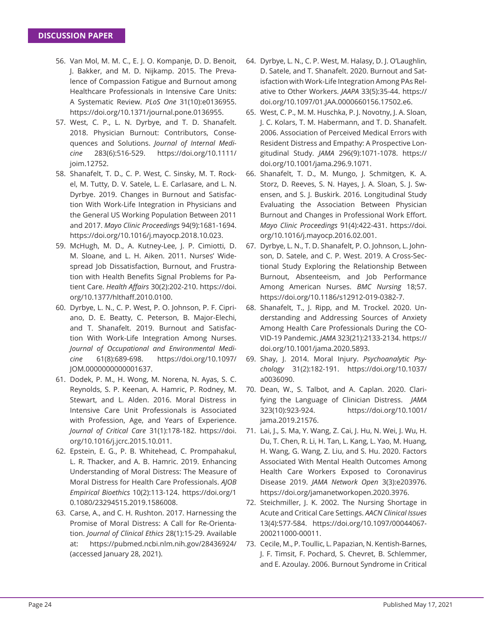- 56. Van Mol, M. M. C., E. J. O. Kompanje, D. D. Benoit, J. Bakker, and M. D. Nijkamp. 2015. The Prevalence of Compassion Fatigue and Burnout among Healthcare Professionals in Intensive Care Units: A Systematic Review. *PLoS One* 31(10):e0136955. https://doi.org/10.1371/journal.pone.0136955.
- 57. West, C. P., L. N. Dyrbye, and T. D. Shanafelt. 2018. Physician Burnout: Contributors, Consequences and Solutions. *Journal of Internal Medicine* 283(6):516-529. https://doi.org/10.1111/ joim.12752.
- 58. Shanafelt, T. D., C. P. West, C. Sinsky, M. T. Rockel, M. Tutty, D. V. Satele, L. E. Carlasare, and L. N. Dyrbye. 2019. Changes in Burnout and Satisfaction With Work-Life Integration in Physicians and the General US Working Population Between 2011 and 2017. *Mayo Clinic Proceedings* 94(9):1681-1694. https://doi.org/10.1016/j.mayocp.2018.10.023.
- 59. McHugh, M. D., A. Kutney-Lee, J. P. Cimiotti, D. M. Sloane, and L. H. Aiken. 2011. Nurses' Widespread Job Dissatisfaction, Burnout, and Frustration with Health Benefits Signal Problems for Patient Care. *Health Aff airs* 30(2):202-210. https://doi. org/10.1377/hlthaff .2010.0100.
- 60. Dyrbye, L. N., C. P. West, P. O. Johnson, P. F. Cipriano, D. E. Beatty, C. Peterson, B. Major-Elechi, and T. Shanafelt. 2019. Burnout and Satisfaction With Work-Life Integration Among Nurses. *Journal of Occupational and Environmental Medicine* 61(8):689-698. https://doi.org/10.1097/ JOM.0000000000001637.
- 61. Dodek, P. M., H. Wong, M. Norena, N. Ayas, S. C. Reynolds, S. P. Keenan, A. Hamric, P. Rodney, M. Stewart, and L. Alden. 2016. Moral Distress in Intensive Care Unit Professionals is Associated with Profession, Age, and Years of Experience. *Journal of Critical Care* 31(1):178-182. https://doi. org/10.1016/j.jcrc.2015.10.011.
- 62. Epstein, E. G., P. B. Whitehead, C. Prompahakul, L. R. Thacker, and A. B. Hamric. 2019. Enhancing Understanding of Moral Distress: The Measure of Moral Distress for Health Care Professionals. *AJOB Empirical Bioethics* 10(2):113-124. https://doi.org/1 0.1080/23294515.2019.1586008.
- 63. Carse, A., and C. H. Rushton. 2017. Harnessing the Promise of Moral Distress: A Call for Re-Orientation. *Journal of Clinical Ethics* 28(1):15-29. Available at: https://pubmed.ncbi.nlm.nih.gov/28436924/ (accessed January 28, 2021).
- 64. Dyrbye, L. N., C. P. West, M. Halasy, D. J. O'Laughlin, D. Satele, and T. Shanafelt. 2020. Burnout and Satisfaction with Work-Life Integration Among PAs Relative to Other Workers. *JAAPA* 33(5):35-44. https:// doi.org/10.1097/01.JAA.0000660156.17502.e6.
- 65. West, C. P., M. M. Huschka, P. J. Novotny, J. A. Sloan, J. C. Kolars, T. M. Habermann, and T. D. Shanafelt. 2006. Association of Perceived Medical Errors with Resident Distress and Empathy: A Prospective Longitudinal Study. *JAMA* 296(9):1071-1078. https:// doi.org/10.1001/jama.296.9.1071.
- 66. Shanafelt, T. D., M. Mungo, J. Schmitgen, K. A. Storz, D. Reeves, S. N. Hayes, J. A. Sloan, S. J. Swensen, and S. J. Buskirk. 2016. Longitudinal Study Evaluating the Association Between Physician Burnout and Changes in Professional Work Effort. *Mayo Clinic Proceedings* 91(4):422-431. https://doi. org/10.1016/j.mayocp.2016.02.001.
- 67. Dyrbye, L. N., T. D. Shanafelt, P. O. Johnson, L. Johnson, D. Satele, and C. P. West. 2019. A Cross-Sectional Study Exploring the Relationship Between Burnout, Absenteeism, and Job Performance Among American Nurses. *BMC Nursing* 18;57. https://doi.org/10.1186/s12912-019-0382-7.
- 68. Shanafelt, T., J. Ripp, and M. Trockel. 2020. Understanding and Addressing Sources of Anxiety Among Health Care Professionals During the CO-VID-19 Pandemic. *JAMA* 323(21):2133-2134. https:// doi.org/10.1001/jama.2020.5893.
- 69. Shay, J. 2014. Moral Injury. *Psychoanalytic Psychology* 31(2):182-191. https://doi.org/10.1037/ a0036090.
- 70. Dean, W., S. Talbot, and A. Caplan. 2020. Clarifying the Language of Clinician Distress. *JAMA* 323(10):923-924. https://doi.org/10.1001/ jama.2019.21576.
- 71. Lai, J., S. Ma, Y. Wang, Z. Cai, J. Hu, N. Wei, J. Wu, H. Du, T. Chen, R. Li, H. Tan, L. Kang, L. Yao, M. Huang, H. Wang, G. Wang, Z. Liu, and S. Hu. 2020. Factors Associated With Mental Health Outcomes Among Health Care Workers Exposed to Coronavirus Disease 2019. *JAMA Network Open* 3(3):e203976. https://doi.org/jamanetworkopen.2020.3976.
- 72. Steichmiller, J. K. 2002. The Nursing Shortage in Acute and Critical Care Settings. *AACN Clinical Issues*  13(4):577-584. https://doi.org/10.1097/00044067- 200211000-00011.
- 73. Cecile, M., P. Toullic, L. Papazian, N. Kentish-Barnes, J. F. Timsit, F. Pochard, S. Chevret, B. Schlemmer, and E. Azoulay. 2006. Burnout Syndrome in Critical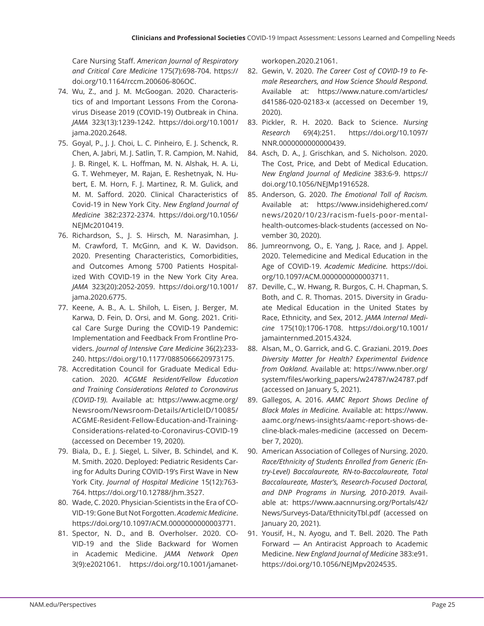Care Nursing Staff . *American Journal of Respiratory and Critical Care Medicine* 175(7):698-704. https:// doi.org/10.1164/rccm.200606-806OC.

- 74. Wu, Z., and J. M. McGoogan. 2020. Characteristics of and Important Lessons From the Coronavirus Disease 2019 (COVID-19) Outbreak in China. *JAMA* 323(13):1239-1242. https://doi.org/10.1001/ jama.2020.2648.
- 75. Goyal, P., J. J. Choi, L. C. Pinheiro, E. J. Schenck, R. Chen, A. Jabri, M. J. Satlin, T. R. Campion, M. Nahid, J. B. Ringel, K. L. Hoffman, M. N. Alshak, H. A. Li, G. T. Wehmeyer, M. Rajan, E. Reshetnyak, N. Hubert, E. M. Horn, F. J. Martinez, R. M. Gulick, and M. M. Safford. 2020. Clinical Characteristics of Covid-19 in New York City. *New England Journal of Medicine* 382:2372-2374. https://doi.org/10.1056/ NEJMc2010419.
- 76. Richardson, S., J. S. Hirsch, M. Narasimhan, J. M. Crawford, T. McGinn, and K. W. Davidson. 2020. Presenting Characteristics, Comorbidities, and Outcomes Among 5700 Patients Hospitalized With COVID-19 in the New York City Area. *JAMA* 323(20):2052-2059. https://doi.org/10.1001/ jama.2020.6775.
- 77. Keene, A. B., A. L. Shiloh, L. Eisen, J. Berger, M. Karwa, D. Fein, D. Orsi, and M. Gong. 2021. Critical Care Surge During the COVID-19 Pandemic: Implementation and Feedback From Frontline Providers. *Journal of Intensive Care Medicine* 36(2):233- 240. https://doi.org/10.1177/0885066620973175.
- 78. Accreditation Council for Graduate Medical Education. 2020. *ACGME Resident/Fellow Education and Training Considerations Related to Coronavirus (COVID-19).* Available at: https://www.acgme.org/ Newsroom/Newsroom-Details/ArticleID/10085/ ACGME-Resident-Fellow-Education-and-Training-Considerations-related-to-Coronavirus-COVID-19 (accessed on December 19, 2020).
- 79. Biala, D., E. J. Siegel, L. Silver, B. Schindel, and K. M. Smith. 2020. Deployed: Pediatric Residents Caring for Adults During COVID-19's First Wave in New York City. *Journal of Hospital Medicine* 15(12):763- 764. https://doi.org/10.12788/jhm.3527.
- 80. Wade, C. 2020. Physician-Scientists in the Era of CO-VID-19: Gone But Not Forgotten. *Academic Medicine*. https://doi.org/10.1097/ACM.0000000000003771.
- 81. Spector, N. D., and B. Overholser. 2020. CO-VID-19 and the Slide Backward for Women in Academic Medicine. *JAMA Network Open*  3(9):e2021061. https://doi.org/10.1001/jamanet-

workopen.2020.21061.

- 82. Gewin, V. 2020. *The Career Cost of COVID-19 to Female Researchers, and How Science Should Respond.*  Available at: https://www.nature.com/articles/ d41586-020-02183-x (accessed on December 19, 2020).
- 83. Pickler, R. H. 2020. Back to Science. *Nursing Research* 69(4):251. https://doi.org/10.1097/ NNR.0000000000000439.
- 84. Asch, D. A., J. Grischkan, and S. Nicholson. 2020. The Cost, Price, and Debt of Medical Education. *New England Journal of Medicine* 383:6-9. https:// doi.org/10.1056/NEJMp1916528.
- 85. Anderson, G. 2020. *The Emotional Toll of Racism.* Available at: https://www.insidehighered.com/ news/2020/10/23/racism-fuels-poor-mentalhealth-outcomes-black-students (accessed on November 30, 2020).
- 86. Jumreornvong, O., E. Yang, J. Race, and J. Appel. 2020. Telemedicine and Medical Education in the Age of COVID-19. *Academic Medicine.* https://doi. org/10.1097/ACM.0000000000003711.
- 87. Deville, C., W. Hwang, R. Burgos, C. H. Chapman, S. Both, and C. R. Thomas. 2015. Diversity in Graduate Medical Education in the United States by Race, Ethnicity, and Sex, 2012. *JAMA Internal Medicine* 175(10):1706-1708. https://doi.org/10.1001/ jamainternmed.2015.4324.
- 88. Alsan, M., O. Garrick, and G. C. Graziani. 2019. *Does Diversity Matter for Health? Experimental Evidence from Oakland.* Available at: https://www.nber.org/ system/files/working\_papers/w24787/w24787.pdf (accessed on January 5, 2021).
- 89. Gallegos, A. 2016. *AAMC Report Shows Decline of Black Males in Medicine.* Available at: https://www. aamc.org/news-insights/aamc-report-shows-decline-black-males-medicine (accessed on December 7, 2020).
- 90. American Association of Colleges of Nursing. 2020. *Race/Ethnicity of Students Enrolled from Generic (Entry-Level) Baccalaureate, RN-to-Baccalaureate, Total Baccalaureate, Master's, Research-Focused Doctoral, and DNP Programs in Nursing, 2010-2019.* Available at: https://www.aacnnursing.org/Portals/42/ News/Surveys-Data/EthnicityTbl.pdf (accessed on January 20, 2021).
- 91. Yousif, H., N. Ayogu, and T. Bell. 2020. The Path Forward — An Antiracist Approach to Academic Medicine. *New England Journal of Medicine* 383:e91. https://doi.org/10.1056/NEJMpv2024535.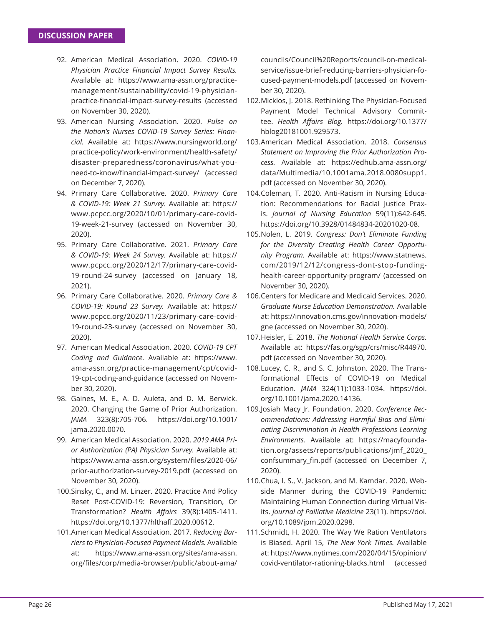- 92. American Medical Association. 2020. *COVID-19 Physician Practice Financial Impact Survey Results.*  Available at: https://www.ama-assn.org/practicemanagement/sustainability/covid-19-physicianpractice-financial-impact-survey-results (accessed on November 30, 2020).
- 93. American Nursing Association. 2020. *Pulse on the Nation's Nurses COVID-19 Survey Series: Financial.* Available at: https://www.nursingworld.org/ practice-policy/work-environment/health-safety/ disaster-preparedness/coronavirus/what-youneed-to-know/financial-impact-survey/ (accessed on December 7, 2020).
- 94. Primary Care Collaborative. 2020. *Primary Care & COVID-19: Week 21 Survey.* Available at: https:// www.pcpcc.org/2020/10/01/primary-care-covid-19-week-21-survey (accessed on November 30, 2020).
- 95. Primary Care Collaborative. 2021. *Primary Care & COVID-19: Week 24 Survey.* Available at: https:// www.pcpcc.org/2020/12/17/primary-care-covid-19-round-24-survey (accessed on January 18, 2021).
- 96. Primary Care Collaborative. 2020. *Primary Care & COVID-19: Round 23 Survey.* Available at: https:// www.pcpcc.org/2020/11/23/primary-care-covid-19-round-23-survey (accessed on November 30, 2020).
- 97. American Medical Association. 2020. *COVID-19 CPT Coding and Guidance.* Available at: https://www. ama-assn.org/practice-management/cpt/covid-19-cpt-coding-and-guidance (accessed on November 30, 2020).
- 98. Gaines, M. E., A. D. Auleta, and D. M. Berwick. 2020. Changing the Game of Prior Authorization. *JAMA* 323(8):705-706. https://doi.org/10.1001/ jama.2020.0070.
- 99. American Medical Association. 2020. *2019 AMA Prior Authorization (PA) Physician Survey.* Available at: https://www.ama-assn.org/system/files/2020-06/ prior-authorization-survey-2019.pdf (accessed on November 30, 2020).
- 100. Sinsky, C., and M. Linzer. 2020. Practice And Policy Reset Post-COVID-19: Reversion, Transition, Or Transformation? Health Affairs 39(8):1405-1411. https://doi.org/10.1377/hlthaff.2020.00612.
- 101. American Medical Association. 2017. *Reducing Barriers to Physician-Focused Payment Models.* Available at: https://www.ama-assn.org/sites/ama-assn. org/files/corp/media-browser/public/about-ama/

councils/Council%20Reports/council-on-medicalservice/issue-brief-reducing-barriers-physician-focused-payment-models.pdf (accessed on November 30, 2020).

- 102. Micklos, J. 2018. Rethinking The Physician-Focused Payment Model Technical Advisory Committee. *Health Affairs Blog.* https://doi.org/10.1377/ hblog20181001.929573.
- 103. American Medical Association. 2018. *Consensus Statement on Improving the Prior Authorization Process.* Available at: https://edhub.ama-assn.org/ data/Multimedia/10.1001ama.2018.0080supp1. pdf (accessed on November 30, 2020).
- 104. Coleman, T. 2020. Anti-Racism in Nursing Education: Recommendations for Racial Justice Praxis. *Journal of Nursing Education* 59(11):642-645. https://doi.org/10.3928/01484834-20201020-08.
- 105. Nolen, L. 2019. *Congress: Don't Eliminate Funding for the Diversity Creating Health Career Opportunity Program.* Available at: https://www.statnews. com/2019/12/12/congress-dont-stop-fundinghealth-career-opportunity-program/ (accessed on November 30, 2020).
- 106. Centers for Medicare and Medicaid Services. 2020. *Graduate Nurse Education Demonstration.* Available at: https://innovation.cms.gov/innovation-models/ gne (accessed on November 30, 2020).
- 107. Heisler, E. 2018. *The National Health Service Corps.*  Available at: https://fas.org/sgp/crs/misc/R44970. pdf (accessed on November 30, 2020).
- 108. Lucey, C. R., and S. C. Johnston. 2020. The Transformational Effects of COVID-19 on Medical Education. *JAMA* 324(11):1033-1034. https://doi. org/10.1001/jama.2020.14136.
- 109. Josiah Macy Jr. Foundation. 2020. Conference Rec*ommendations: Addressing Harmful Bias and Eliminating Discrimination in Health Professions Learning Environments.* Available at: https://macyfoundation.org/assets/reports/publications/jmf\_2020\_ confsummary\_fin.pdf (accessed on December 7, 2020).
- 110. Chua, I. S., V. Jackson, and M. Kamdar. 2020. Webside Manner during the COVID-19 Pandemic: Maintaining Human Connection during Virtual Visits. *Journal of Palliative Medicine* 23(11). https://doi. org/10.1089/jpm.2020.0298.
- 111. Schmidt, H. 2020. The Way We Ration Ventilators is Biased. April 15, *The New York Times.* Available at: https://www.nytimes.com/2020/04/15/opinion/ covid-ventilator-rationing-blacks.html (accessed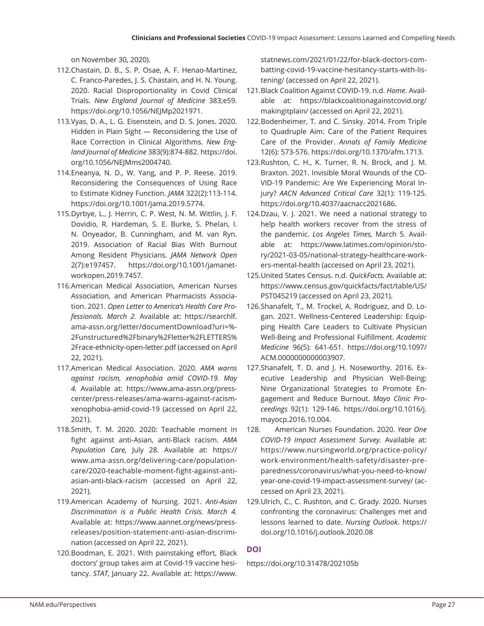on November 30, 2020).

- 112. Chastain, D. B., S. P. Osae, A. F. Henao-Martinez, C. Franco-Paredes, J. S. Chastain, and H. N. Young. 2020. Racial Disproportionality in Covid Clinical Trials. *New England Journal of Medicine* 383;e59. https://doi.org/10.1056/NEJMp2021971.
- 113. Vyas, D. A., L. G. Eisenstein, and D. S. Jones. 2020. Hidden in Plain Sight — Reconsidering the Use of Race Correction in Clinical Algorithms. *New England Journal of Medicine* 383(9):874-882. https://doi. org/10.1056/NEJMms2004740.
- 114. Eneanya, N. D., W. Yang, and P. P. Reese. 2019. Reconsidering the Consequences of Using Race to Estimate Kidney Function. *JAMA* 322(2):113-114. https://doi.org/10.1001/jama.2019.5774.
- 115. Dyrbye, L., J. Herrin, C. P. West, N. M. Wittlin, J. F. Dovidio, R. Hardeman, S. E. Burke, S. Phelan, I. N. Onyeador, B. Cunningham, and M. van Ryn. 2019. Association of Racial Bias With Burnout Among Resident Physicians. *JAMA Network Open*  2(7):e197457. https://doi.org/10.1001/jamanetworkopen.2019.7457.
- 116. American Medical Association, American Nurses Association, and American Pharmacists Association. 2021. *Open Letter to America's Health Care Professionals. March 2.* Available at: https://searchlf. ama-assn.org/letter/documentDownload?uri=%- 2Funstructured%2Fbinary%2Fletter%2FLETTERS% 2Frace-ethnicity-open-letter.pdf (accessed on April 22, 2021).
- 117. American Medical Association. 2020. *AMA warns against racism, xenophobia amid COVID-19. May 4.* Available at: https://www.ama-assn.org/presscenter/press-releases/ama-warns-against-racismxenophobia-amid-covid-19 (accessed on April 22, 2021).
- 118. Smith, T. M. 2020. 2020: Teachable moment in fight against anti-Asian, anti-Black racism. AMA *Population Care,* July 28. Available at: https:// www.ama-assn.org/delivering-care/populationcare/2020-teachable-moment-fight-against-antiasian-anti-black-racism (accessed on April 22, 2021).
- 119. American Academy of Nursing. 2021. *Anti-Asian Discrimination is a Public Health Crisis. March 4.*  Available at: https://www.aannet.org/news/pressreleases/position-statement-anti-asian-discrimination (accessed on April 22, 2021).
- 120. Boodman, E. 2021. With painstaking effort, Black doctors' group takes aim at Covid-19 vaccine hesitancy. *STAT*, January 22. Available at: https://www.

statnews.com/2021/01/22/for-black-doctors-combatting-covid-19-vaccine-hesitancy-starts-with-listening/ (accessed on April 22, 2021).

- 121. Black Coalition Against COVID-19. n.d. *Home*. Available at: https://blackcoalitionagainstcovid.org/ makingitplain/ (accessed on April 22, 2021).
- 122. Bodenheimer, T. and C. Sinsky. 2014. From Triple to Quadruple Aim: Care of the Patient Requires Care of the Provider. *Annals of Family Medicine*  12(6): 573-576. https://doi.org/10.1370/afm.1713.
- 123. Rushton, C. H., K. Turner, R. N. Brock, and J. M. Braxton. 2021. Invisible Moral Wounds of the CO-VID-19 Pandemic: Are We Experiencing Moral Injury? *AACN Advanced Critical Care* 32(1): 119-125. https://doi.org/10.4037/aacnacc2021686.
- 124. Dzau, V. J. 2021. We need a national strategy to help health workers recover from the stress of the pandemic. *Los Angeles Times,* March 5. Available at: https://www.latimes.com/opinion/story/2021-03-05/national-strategy-healthcare-workers-mental-health (accessed on April 23, 2021).
- 125. United States Census. n.d. *QuickFacts.* Available at: https://www.census.gov/quickfacts/fact/table/US/ PST045219 (accessed on April 23, 2021).
- 126. Shanafelt, T., M. Trockel, A. Rodriguez, and D. Logan. 2021. Wellness-Centered Leadership: Equipping Health Care Leaders to Cultivate Physician Well-Being and Professional Fulfillment. *Academic Medicine* 96(5): 641-651. https://doi.org/10.1097/ ACM.0000000000003907.
- 127. Shanafelt, T. D. and J. H. Noseworthy. 2016. Executive Leadership and Physician Well-Being: Nine Organizational Strategies to Promote Engagement and Reduce Burnout. *Mayo Clinic Proceedings* 92(1): 129-146. https://doi.org/10.1016/j. mayocp.2016.10.004.
- 128. American Nurses Foundation. 2020. *Year One COVID-19 Impact Assessment Survey.* Available at: https://www.nursingworld.org/practice-policy/ work-environment/health-safety/disaster-preparedness/coronavirus/what-you-need-to-know/ year-one-covid-19-impact-assessment-survey/ (accessed on April 23, 2021).
- 129. Ulrich, C., C. Rushton, and C. Grady. 2020. Nurses confronting the coronavirus: Challenges met and lessons learned to date. *Nursing Outlook*. https:// doi.org/10.1016/j.outlook.2020.08

# **DOI**

https://doi.org/10.31478/202105b